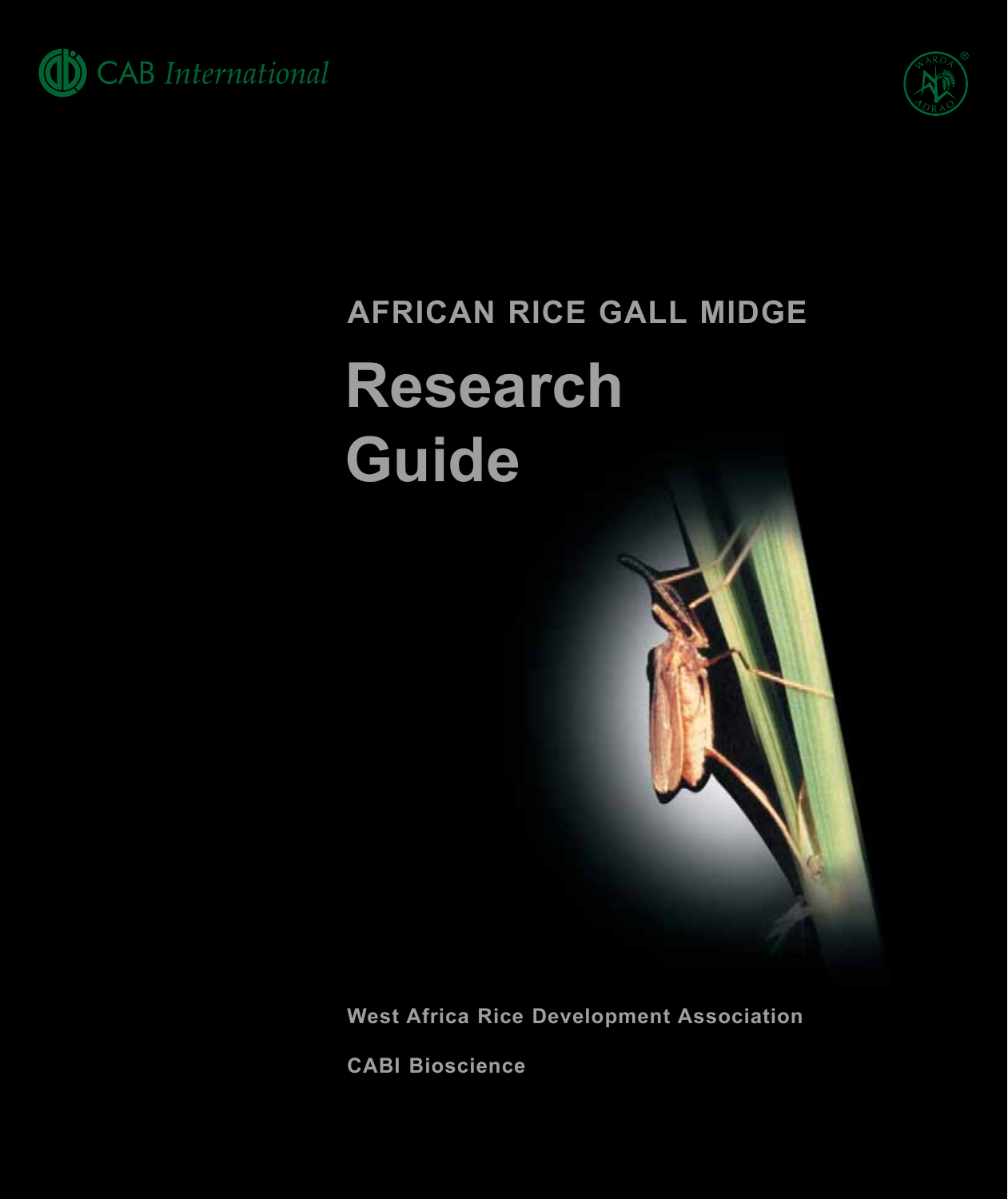



## AFRICAN RICE GALL MIDGE **Research** Guide

**West Africa Rice Development Association** 

**CABI Bioscience**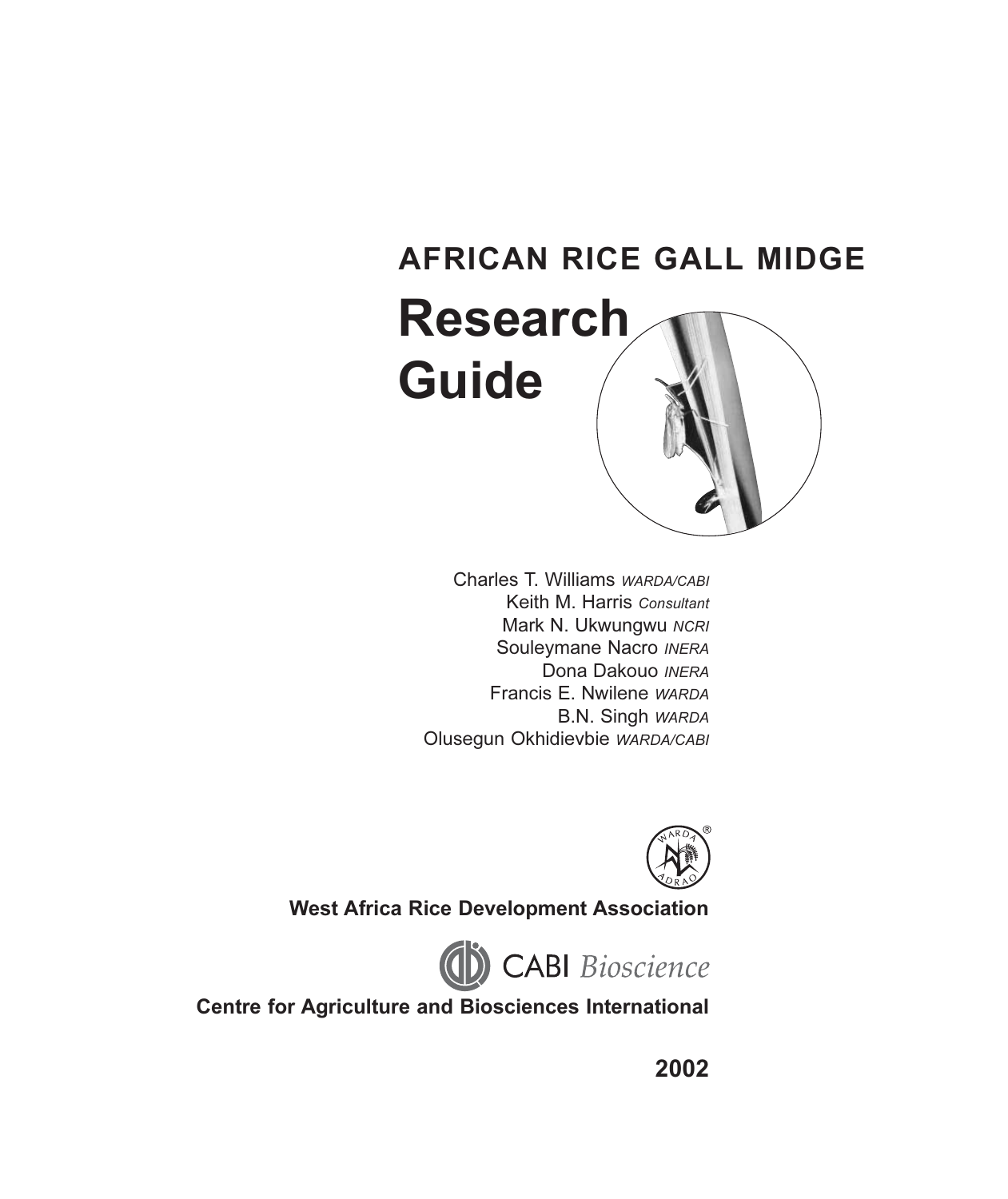# **AFRICAN RICE GALL MIDGE Research Guide**

Charles T. Williams WARDA/CABI Keith M. Harris Consultant Mark N. Ukwungwu NCRI Souleymane Nacro INERA Dona Dakouo INERA Francis E. Nwilene WARDA B.N. Singh WARDA Olusegun Okhidievbie WARDA/CABI



**West Africa Rice Development Association** 



**Centre for Agriculture and Biosciences International** 

2002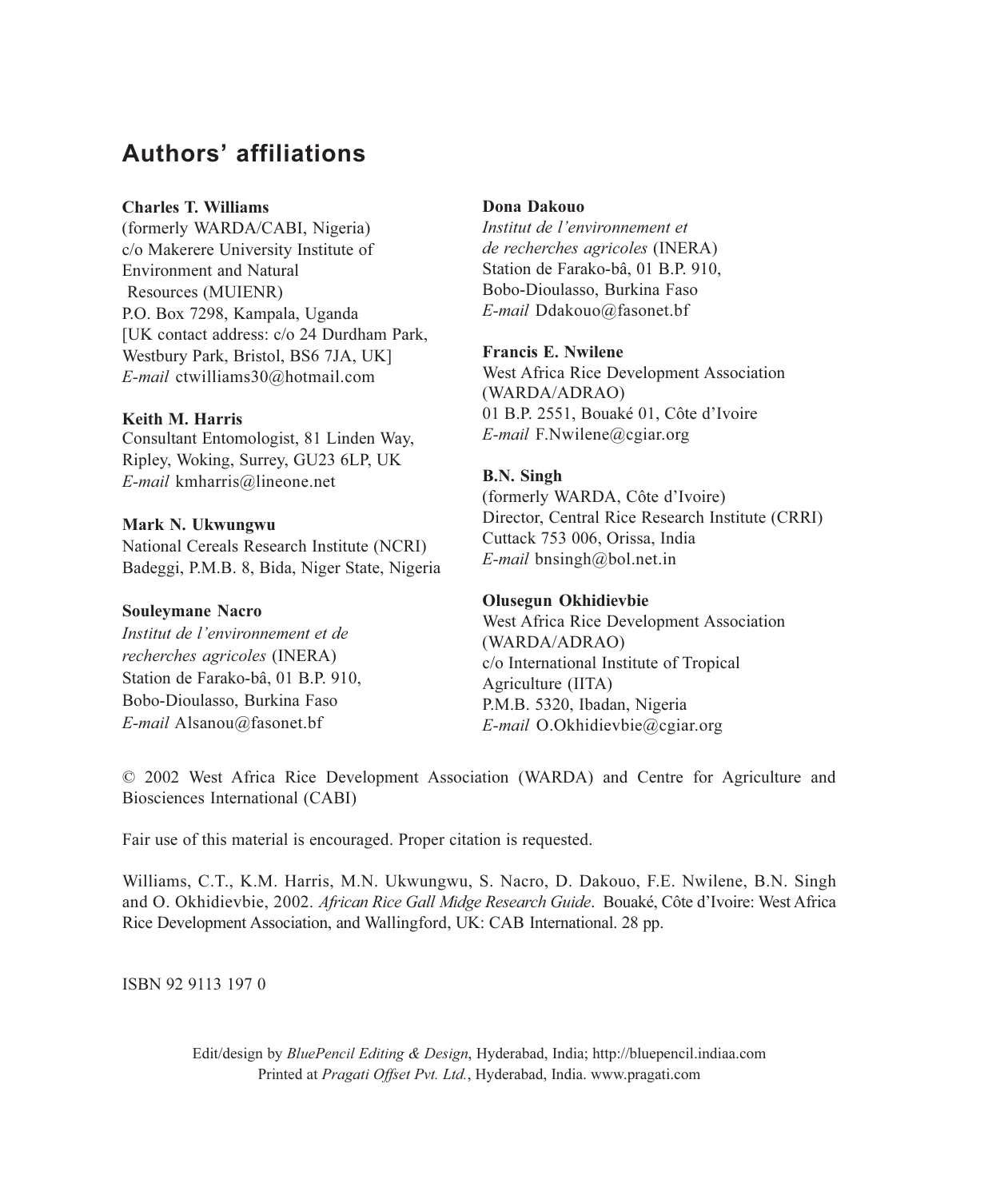#### **Authors' affiliations**

#### **Charles T. Williams**

(formerly WARDA/CABI, Nigeria) c/o Makerere University Institute of **Environment** and Natural Resources (MUIENR) P.O. Box 7298, Kampala, Uganda [UK contact address: c/o 24 Durdham Park, Westbury Park, Bristol, BS6 7JA, UK] E-mail ctwilliams30@hotmail.com

#### Keith M. Harris

Consultant Entomologist, 81 Linden Way, Ripley, Woking, Surrey, GU23 6LP, UK E-mail kmharris@lineone.net

#### Mark N. Ukwungwu

National Cereals Research Institute (NCRI) Badeggi, P.M.B. 8, Bida, Niger State, Nigeria

#### **Souleymane Nacro**

Institut de l'environnement et de recherches agricoles (INERA) Station de Farako-bâ, 01 B.P. 910, Bobo-Dioulasso, Burkina Faso  $E$ -mail Alsanou@fasonet.bf

#### Dona Dakouo

Institut de l'environnement et de recherches agricoles (INERA) Station de Farako-bâ, 01 B.P. 910, Bobo-Dioulasso, Burkina Faso E-mail Ddakouo@fasonet.bf

#### **Francis E. Nwilene**

West Africa Rice Development Association (WARDA/ADRAO) 01 B.P. 2551, Bouaké 01, Côte d'Ivoire  $E$ -mail F.Nwilene@cgiar.org

#### **B.N.** Singh

(formerly WARDA, Côte d'Ivoire) Director, Central Rice Research Institute (CRRI) Cuttack 753 006, Orissa, India  $E$ -mail bnsingh@bol.net.in

#### Olusegun Okhidievbie

West Africa Rice Development Association (WARDA/ADRAO) c/o International Institute of Tropical Agriculture (IITA) P.M.B. 5320, Ibadan, Nigeria E-mail O.Okhidievbie@cgiar.org

© 2002 West Africa Rice Development Association (WARDA) and Centre for Agriculture and Biosciences International (CABI)

Fair use of this material is encouraged. Proper citation is requested.

Williams, C.T., K.M. Harris, M.N. Ukwungwu, S. Nacro, D. Dakouo, F.E. Nwilene, B.N. Singh and O. Okhidievbie, 2002. African Rice Gall Midge Research Guide. Bouaké, Côte d'Ivoire: West Africa Rice Development Association, and Wallingford, UK: CAB International. 28 pp.

ISBN 92 9113 1970

Edit/design by *BluePencil Editing & Design*, Hyderabad, India; http://bluepencil.indiaa.com Printed at Pragati Offset Pvt. Ltd., Hyderabad, India. www.pragati.com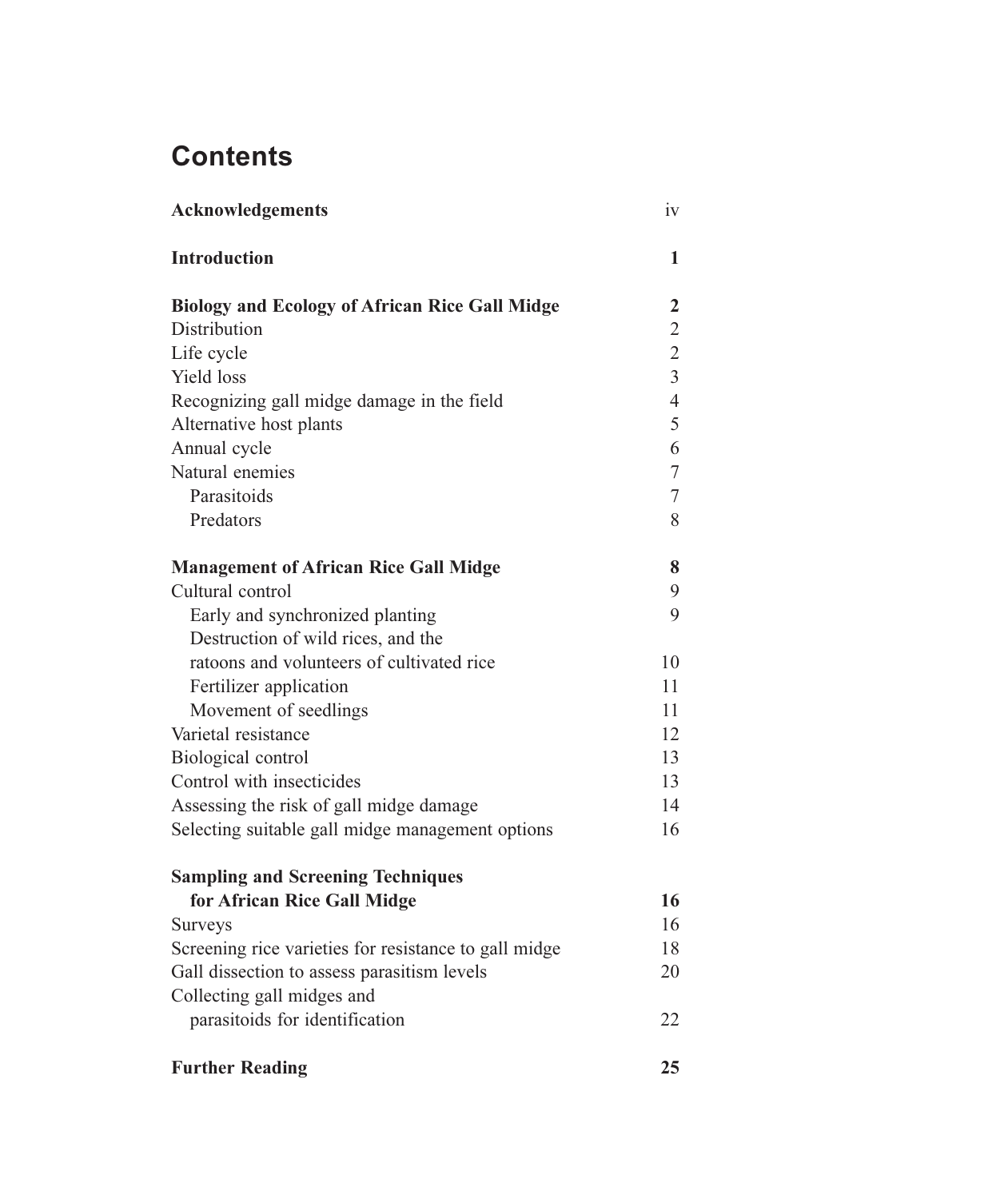## **Contents**

| Acknowledgements                                      |                |
|-------------------------------------------------------|----------------|
| <b>Introduction</b>                                   | 1              |
| <b>Biology and Ecology of African Rice Gall Midge</b> | 2              |
| Distribution                                          | $\overline{2}$ |
| Life cycle                                            | $\overline{2}$ |
| Yield loss                                            | $\overline{3}$ |
| Recognizing gall midge damage in the field            | $\overline{4}$ |
| Alternative host plants                               | 5              |
| Annual cycle                                          | 6              |
| Natural enemies                                       | $\tau$         |
| Parasitoids                                           | $\overline{7}$ |
| Predators                                             | 8              |
| <b>Management of African Rice Gall Midge</b>          | 8              |
| Cultural control                                      | 9              |
| Early and synchronized planting                       | 9              |
| Destruction of wild rices, and the                    |                |
| ratoons and volunteers of cultivated rice             | 10             |
| Fertilizer application                                | 11             |
| Movement of seedlings                                 |                |
| Varietal resistance                                   |                |
| Biological control                                    |                |
| Control with insecticides                             |                |
| Assessing the risk of gall midge damage               |                |
| Selecting suitable gall midge management options      | 16             |
| <b>Sampling and Screening Techniques</b>              |                |
| for African Rice Gall Midge                           | 16             |
| <b>Surveys</b>                                        | 16             |
| Screening rice varieties for resistance to gall midge | 18             |
| Gall dissection to assess parasitism levels           | 20             |
| Collecting gall midges and                            |                |
| parasitoids for identification                        | 22             |
| <b>Further Reading</b>                                | 25             |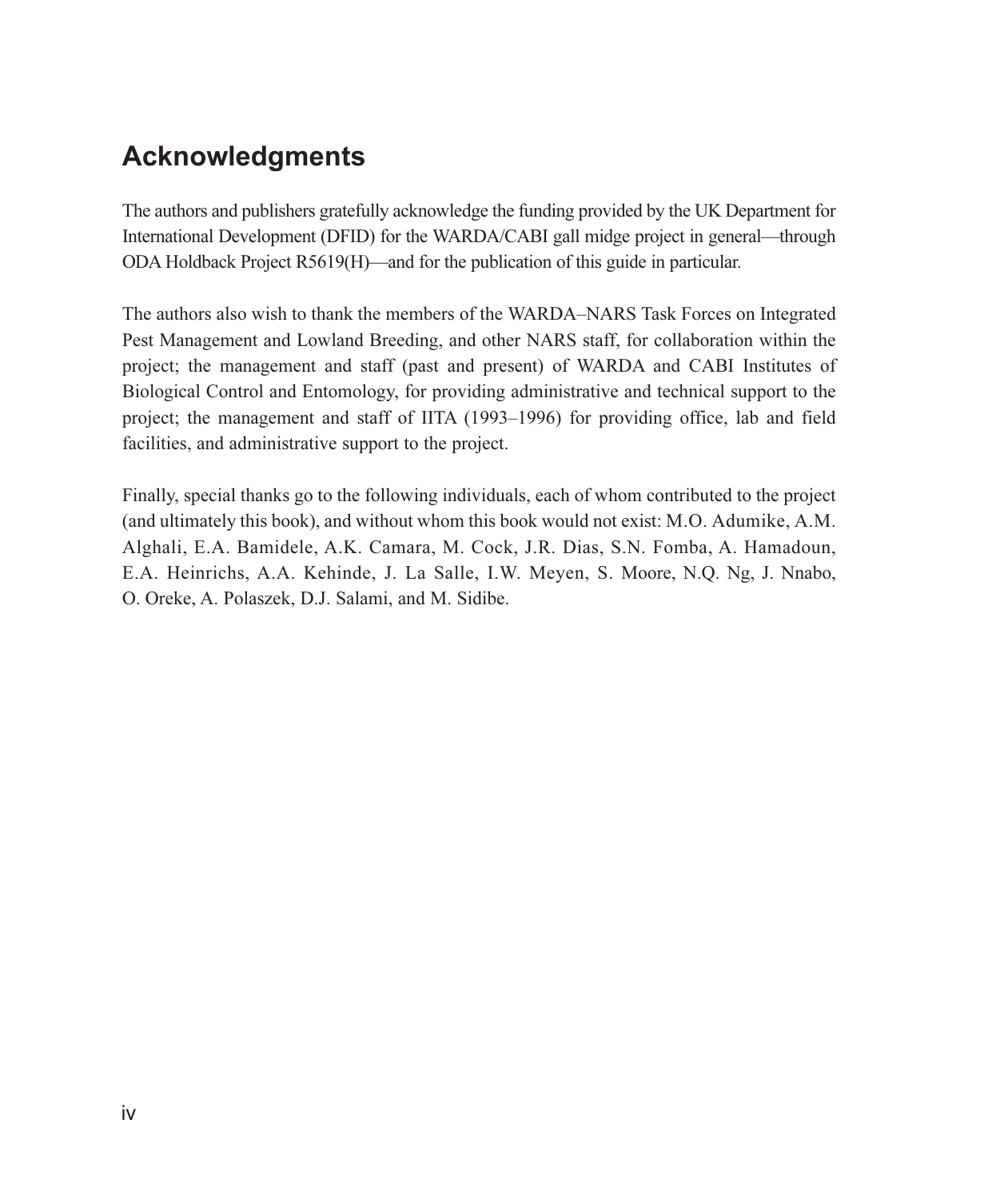## **Acknowledgments**

The authors and publishers gratefully acknowledge the funding provided by the UK Department for International Development (DFID) for the WARDA/CABI gall midge project in general—through ODA Holdback Project R5619(H)—and for the publication of this guide in particular.

The authors also wish to thank the members of the WARDA-NARS Task Forces on Integrated Pest Management and Lowland Breeding, and other NARS staff, for collaboration within the project; the management and staff (past and present) of WARDA and CABI Institutes of Biological Control and Entomology, for providing administrative and technical support to the project; the management and staff of IITA (1993–1996) for providing office, lab and field facilities, and administrative support to the project.

Finally, special thanks go to the following individuals, each of whom contributed to the project (and ultimately this book), and without whom this book would not exist: M.O. Adumike, A.M. Alghali, E.A. Bamidele, A.K. Camara, M. Cock, J.R. Dias, S.N. Fomba, A. Hamadoun, E.A. Heinrichs, A.A. Kehinde, J. La Salle, I.W. Meyen, S. Moore, N.Q. Ng, J. Nnabo, O. Oreke, A. Polaszek, D.J. Salami, and M. Sidibe.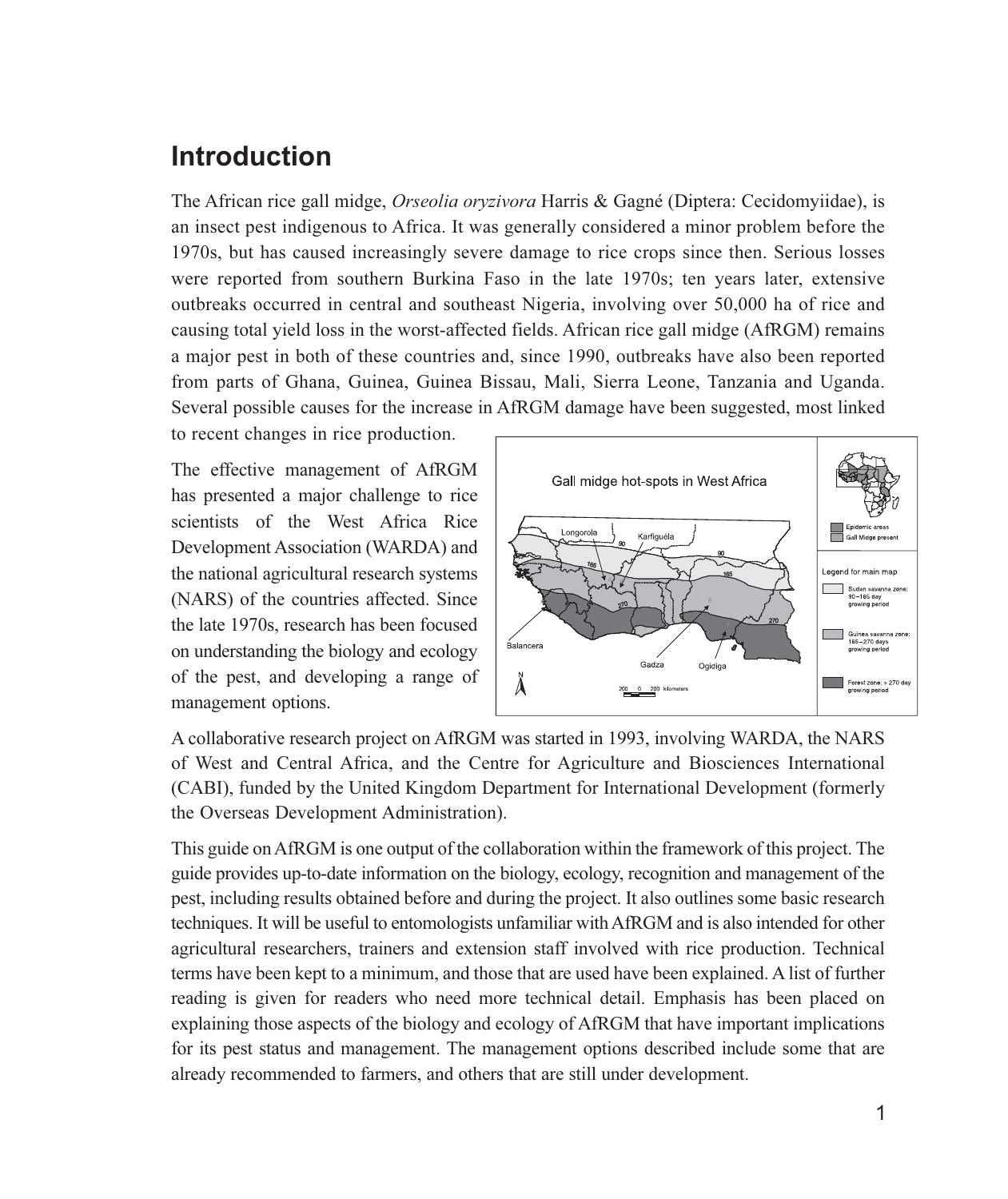## **Introduction**

The African rice gall midge, Orseolia oryzivora Harris & Gagné (Diptera: Cecidomyiidae), is an insect pest indigenous to Africa. It was generally considered a minor problem before the 1970s, but has caused increasingly severe damage to rice crops since then. Serious losses were reported from southern Burkina Faso in the late 1970s; ten years later, extensive outbreaks occurred in central and southeast Nigeria, involving over 50,000 ha of rice and causing total yield loss in the worst-affected fields. African rice gall midge (AfRGM) remains a major pest in both of these countries and, since 1990, outbreaks have also been reported from parts of Ghana, Guinea, Guinea Bissau, Mali, Sierra Leone, Tanzania and Uganda. Several possible causes for the increase in AfRGM damage have been suggested, most linked

to recent changes in rice production.

The effective management of AfRGM has presented a major challenge to rice scientists of the West Africa Rice Development Association (WARDA) and the national agricultural research systems (NARS) of the countries affected. Since the late 1970s, research has been focused on understanding the biology and ecology of the pest, and developing a range of management options.



A collaborative research project on AfRGM was started in 1993, involving WARDA, the NARS of West and Central Africa, and the Centre for Agriculture and Biosciences International (CABI), funded by the United Kingdom Department for International Development (formerly the Overseas Development Administration).

This guide on AfRGM is one output of the collaboration within the framework of this project. The guide provides up-to-date information on the biology, ecology, recognition and management of the pest, including results obtained before and during the project. It also outlines some basic research techniques. It will be useful to entomologists unfamiliar with AfRGM and is also intended for other agricultural researchers, trainers and extension staff involved with rice production. Technical terms have been kept to a minimum, and those that are used have been explained. A list of further reading is given for readers who need more technical detail. Emphasis has been placed on explaining those aspects of the biology and ecology of AfRGM that have important implications for its pest status and management. The management options described include some that are already recommended to farmers, and others that are still under development.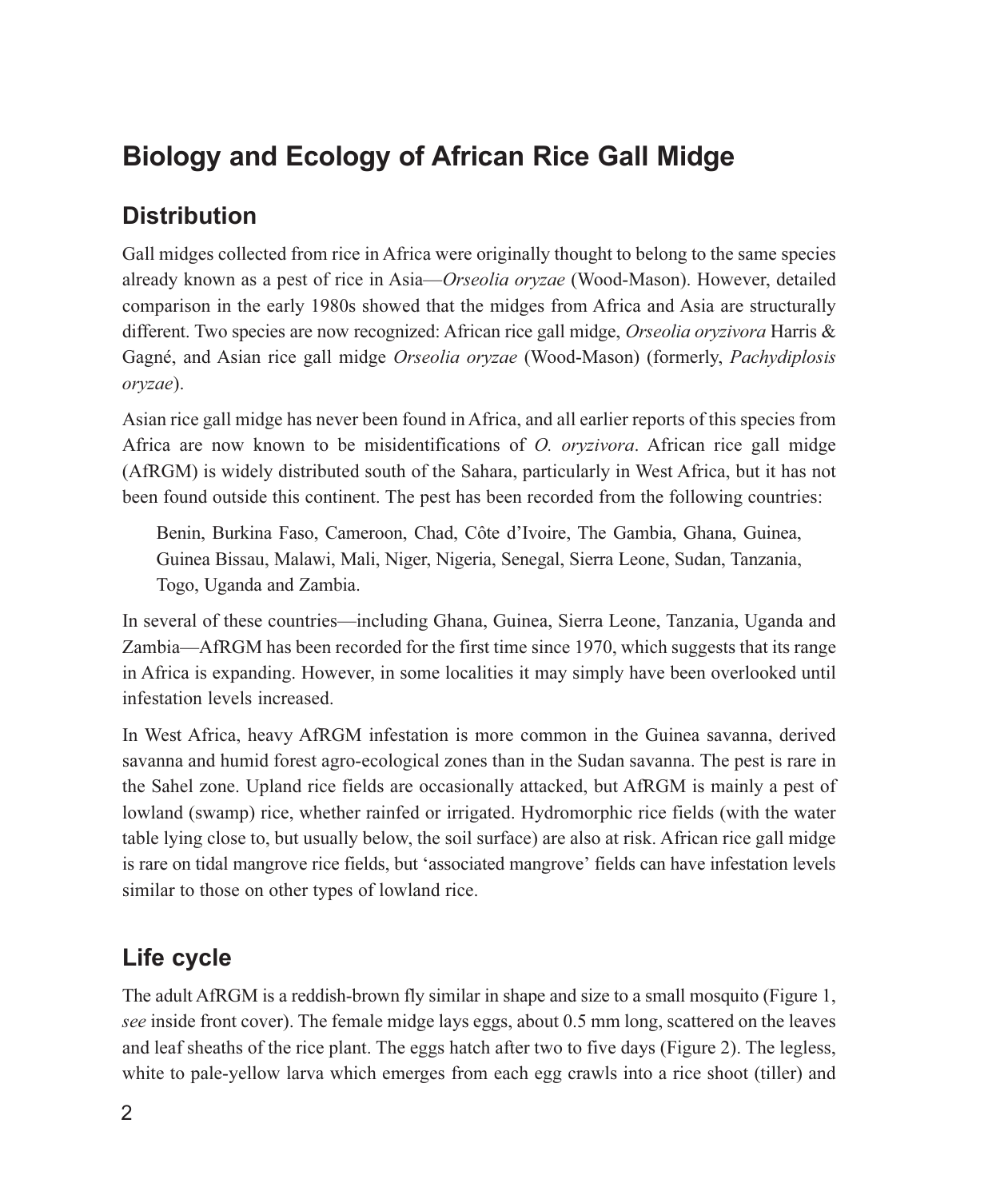## **Biology and Ecology of African Rice Gall Midge**

## **Distribution**

Gall midges collected from rice in Africa were originally thought to belong to the same species already known as a pest of rice in Asia—Orseolia oryzae (Wood-Mason). However, detailed comparison in the early 1980s showed that the midges from Africa and Asia are structurally different. Two species are now recognized: African rice gall midge, Orseolia oryzivora Harris & Gagné, and Asian rice gall midge Orseolia oryzae (Wood-Mason) (formerly, Pachydiplosis oryzae).

Asian rice gall midge has never been found in Africa, and all earlier reports of this species from Africa are now known to be misidentifications of *O. oryzivora*. African rice gall midge (AfRGM) is widely distributed south of the Sahara, particularly in West Africa, but it has not been found outside this continent. The pest has been recorded from the following countries:

Benin, Burkina Faso, Cameroon, Chad, Côte d'Ivoire, The Gambia, Ghana, Guinea, Guinea Bissau, Malawi, Mali, Niger, Nigeria, Senegal, Sierra Leone, Sudan, Tanzania, Togo, Uganda and Zambia.

In several of these countries—including Ghana, Guinea, Sierra Leone, Tanzania, Uganda and Zambia—AfRGM has been recorded for the first time since 1970, which suggests that its range in Africa is expanding. However, in some localities it may simply have been overlooked until infestation levels increased.

In West Africa, heavy AfRGM infestation is more common in the Guinea savanna, derived savanna and humid forest agro-ecological zones than in the Sudan savanna. The pest is rare in the Sahel zone. Upland rice fields are occasionally attacked, but AfRGM is mainly a pest of lowland (swamp) rice, whether rainfed or irrigated. Hydromorphic rice fields (with the water table lying close to, but usually below, the soil surface) are also at risk. African rice gall midge is rare on tidal mangrove rice fields, but 'associated mangrove' fields can have infestation levels similar to those on other types of lowland rice.

## Life cycle

The adult AfRGM is a reddish-brown fly similar in shape and size to a small mosquito (Figure 1, see inside front cover). The female midge lays eggs, about 0.5 mm long, scattered on the leaves and leaf sheaths of the rice plant. The eggs hatch after two to five days (Figure 2). The legless, white to pale-yellow larva which emerges from each egg crawls into a rice shoot (tiller) and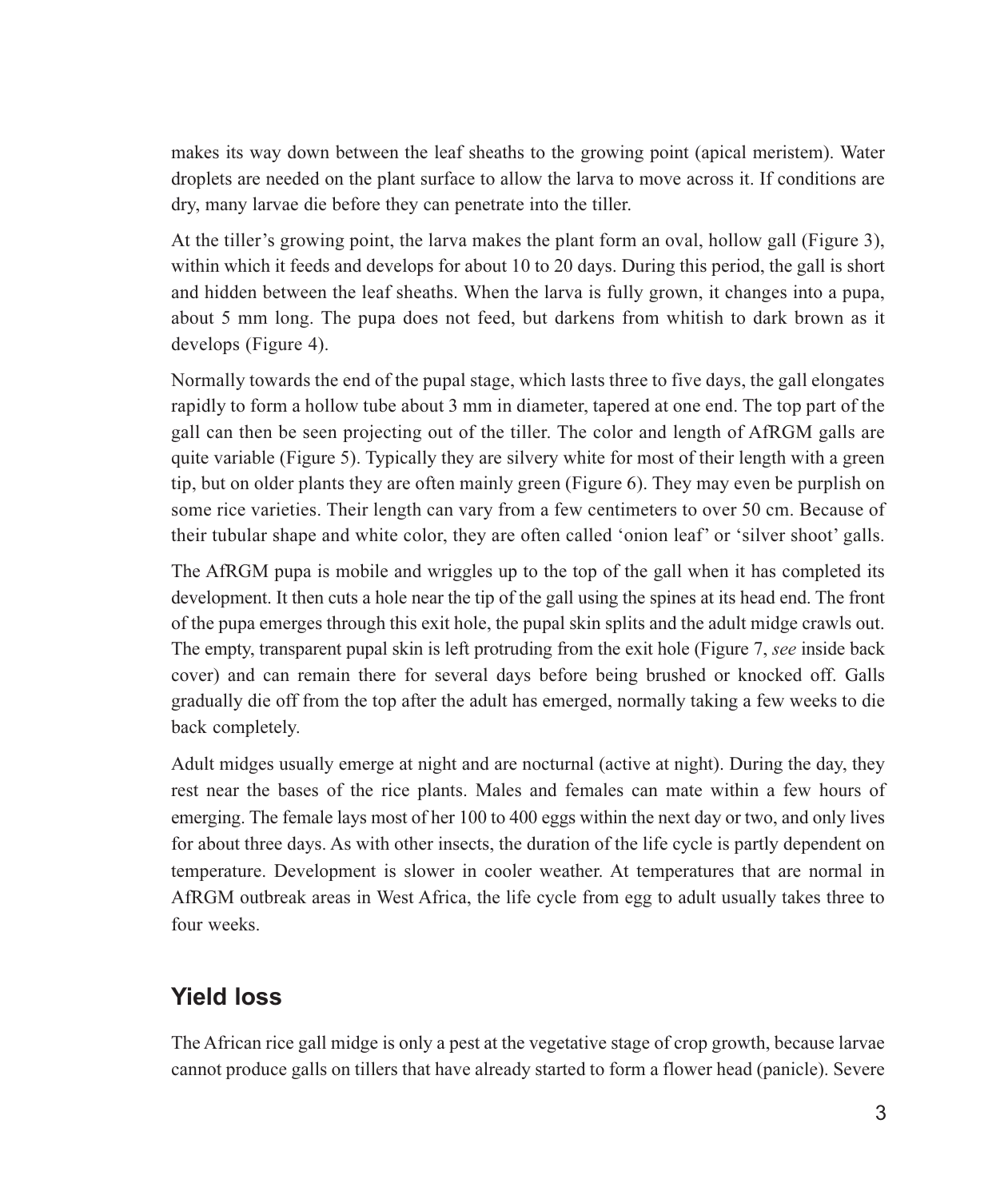makes its way down between the leaf sheaths to the growing point (apical meristem). Water droplets are needed on the plant surface to allow the larva to move across it. If conditions are dry, many larvae die before they can penetrate into the tiller.

At the tiller's growing point, the larva makes the plant form an oval, hollow gall (Figure 3), within which it feeds and develops for about 10 to 20 days. During this period, the gall is short and hidden between the leaf sheaths. When the larva is fully grown, it changes into a pupa, about 5 mm long. The pupa does not feed, but darkens from whitish to dark brown as it develops (Figure 4).

Normally towards the end of the pupal stage, which lasts three to five days, the gall elongates rapidly to form a hollow tube about 3 mm in diameter, tapered at one end. The top part of the gall can then be seen projecting out of the tiller. The color and length of AfRGM galls are quite variable (Figure 5). Typically they are silvery white for most of their length with a green tip, but on older plants they are often mainly green (Figure 6). They may even be purplish on some rice varieties. Their length can vary from a few centimeters to over 50 cm. Because of their tubular shape and white color, they are often called 'onion leaf' or 'silver shoot' galls.

The AfRGM pupa is mobile and wriggles up to the top of the gall when it has completed its development. It then cuts a hole near the tip of the gall using the spines at its head end. The front of the pupa emerges through this exit hole, the pupal skin splits and the adult midge crawls out. The empty, transparent pupal skin is left protruding from the exit hole (Figure 7, see inside back cover) and can remain there for several days before being brushed or knocked off. Galls gradually die off from the top after the adult has emerged, normally taking a few weeks to die back completely.

Adult midges usually emerge at night and are nocturnal (active at night). During the day, they rest near the bases of the rice plants. Males and females can mate within a few hours of emerging. The female lays most of her 100 to 400 eggs within the next day or two, and only lives for about three days. As with other insects, the duration of the life cycle is partly dependent on temperature. Development is slower in cooler weather. At temperatures that are normal in AfRGM outbreak areas in West Africa, the life cycle from egg to adult usually takes three to four weeks

#### **Yield loss**

The African rice gall midge is only a pest at the vegetative stage of crop growth, because larvae cannot produce galls on tillers that have already started to form a flower head (panicle). Severe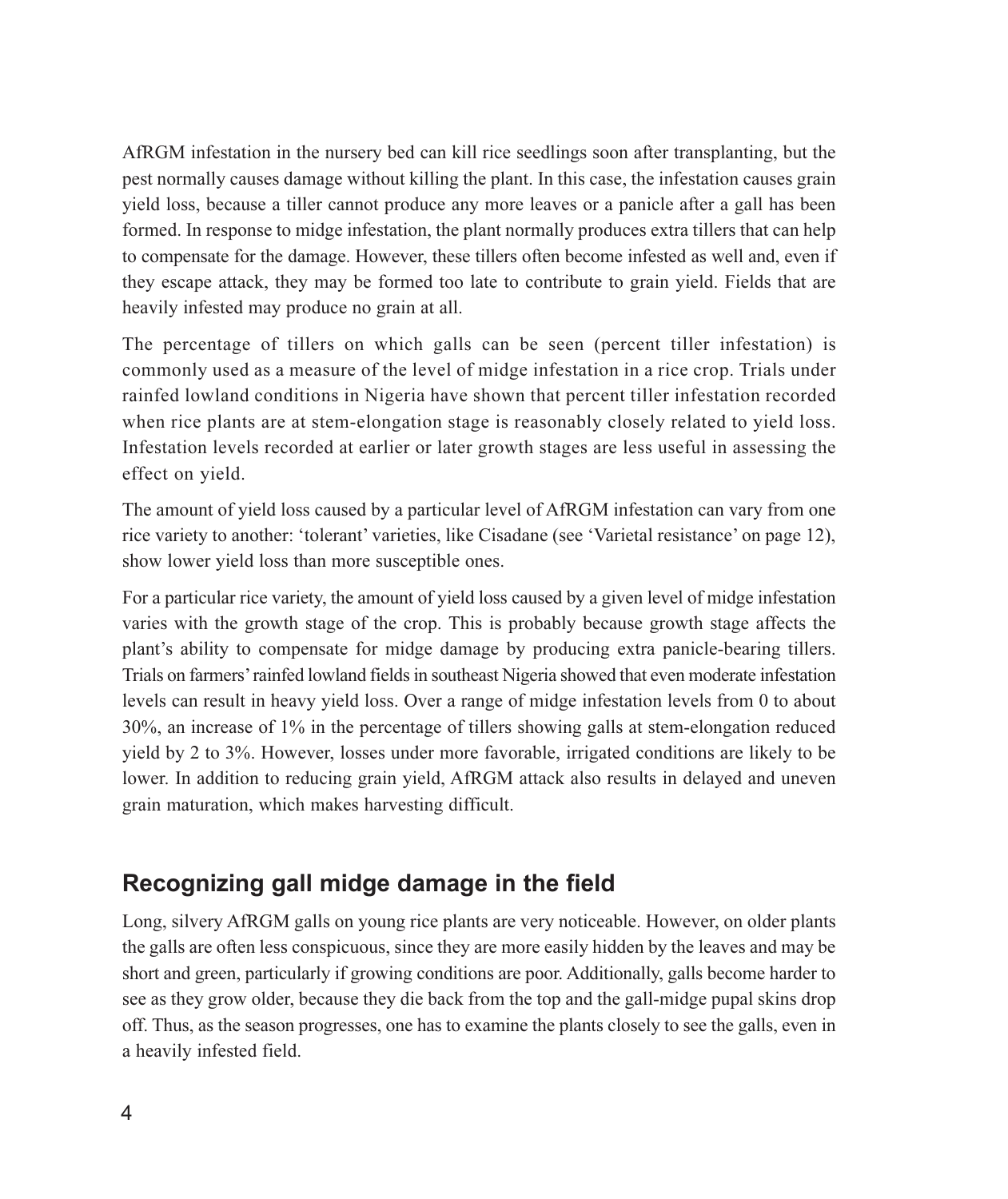AfRGM infestation in the nursery bed can kill rice seedlings soon after transplanting, but the pest normally causes damage without killing the plant. In this case, the infestation causes grain yield loss, because a tiller cannot produce any more leaves or a panicle after a gall has been formed. In response to midge infestation, the plant normally produces extra tillers that can help to compensate for the damage. However, these tillers often become infested as well and, even if they escape attack, they may be formed too late to contribute to grain yield. Fields that are heavily infested may produce no grain at all.

The percentage of tillers on which galls can be seen (percent tiller infestation) is commonly used as a measure of the level of midge infestation in a rice crop. Trials under rainfed lowland conditions in Nigeria have shown that percent tiller infestation recorded when rice plants are at stem-elongation stage is reasonably closely related to yield loss. Infestation levels recorded at earlier or later growth stages are less useful in assessing the effect on yield.

The amount of yield loss caused by a particular level of AfRGM infestation can vary from one rice variety to another: 'tolerant' varieties, like Cisadane (see 'Varietal resistance' on page 12), show lower yield loss than more susceptible ones.

For a particular rice variety, the amount of yield loss caused by a given level of midge infestation varies with the growth stage of the crop. This is probably because growth stage affects the plant's ability to compensate for midge damage by producing extra panicle-bearing tillers. Trials on farmers' rainfed lowland fields in southeast Nigeria showed that even moderate infestation levels can result in heavy yield loss. Over a range of midge infestation levels from 0 to about  $30\%$ , an increase of 1% in the percentage of tillers showing galls at stem-elongation reduced yield by 2 to 3%. However, losses under more favorable, irrigated conditions are likely to be lower. In addition to reducing grain yield, AfRGM attack also results in delayed and uneven grain maturation, which makes harvesting difficult.

#### Recognizing gall midge damage in the field

Long, silvery AfRGM galls on young rice plants are very noticeable. However, on older plants the galls are often less conspicuous, since they are more easily hidden by the leaves and may be short and green, particularly if growing conditions are poor. Additionally, galls become harder to see as they grow older, because they die back from the top and the gall-midge pupal skins drop off. Thus, as the season progresses, one has to examine the plants closely to see the galls, even in a heavily infested field.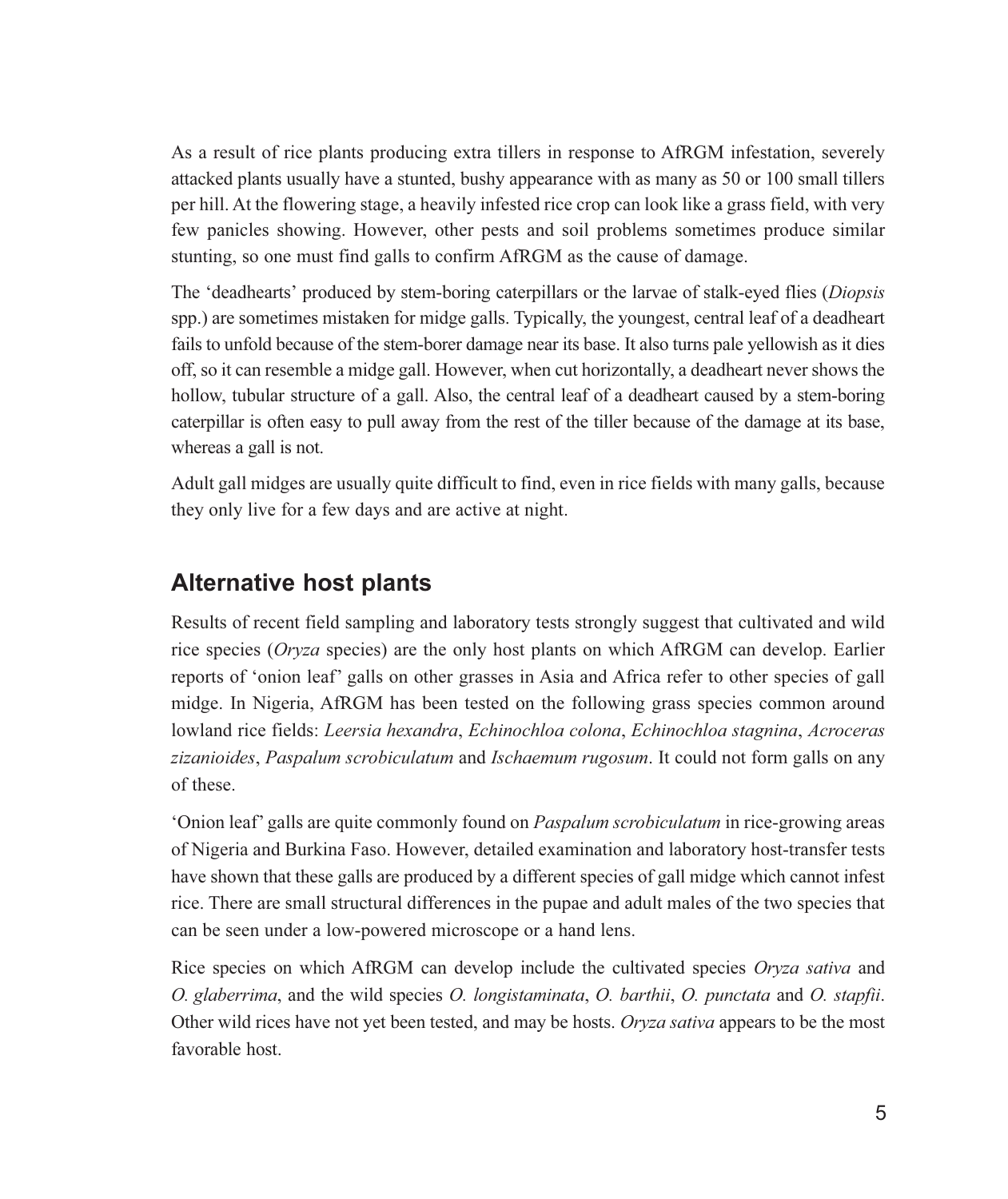As a result of rice plants producing extra tillers in response to AfRGM infestation, severely attacked plants usually have a stunted, bushy appearance with as many as 50 or 100 small tillers per hill. At the flowering stage, a heavily infested rice crop can look like a grass field, with very few panicles showing. However, other pests and soil problems sometimes produce similar stunting, so one must find galls to confirm AfRGM as the cause of damage.

The 'deadhearts' produced by stem-boring caterpillars or the larvae of stalk-eyed flies (Diopsis spp.) are sometimes mistaken for midge galls. Typically, the youngest, central leaf of a deadheart fails to unfold because of the stem-borer damage near its base. It also turns pale yellowish as it dies off, so it can resemble a midge gall. However, when cut horizontally, a deadheart never shows the hollow, tubular structure of a gall. Also, the central leaf of a deadheart caused by a stem-boring caterpillar is often easy to pull away from the rest of the tiller because of the damage at its base, whereas a gall is not.

Adult gall midges are usually quite difficult to find, even in rice fields with many galls, because they only live for a few days and are active at night.

#### **Alternative host plants**

Results of recent field sampling and laboratory tests strongly suggest that cultivated and wild rice species (Oryza species) are the only host plants on which AfRGM can develop. Earlier reports of 'onion leaf' galls on other grasses in Asia and Africa refer to other species of gall midge. In Nigeria, AfRGM has been tested on the following grass species common around lowland rice fields: Leersia hexandra, Echinochloa colona, Echinochloa stagnina, Acroceras zizanioides, Paspalum scrobiculatum and Ischaemum rugosum. It could not form galls on any of these.

'Onion leaf' galls are quite commonly found on *Paspalum scrobiculatum* in rice-growing areas of Nigeria and Burkina Faso. However, detailed examination and laboratory host-transfer tests have shown that these galls are produced by a different species of gall midge which cannot infest rice. There are small structural differences in the pupae and adult males of the two species that can be seen under a low-powered microscope or a hand lens.

Rice species on which AfRGM can develop include the cultivated species Oryza sativa and O. glaberrima, and the wild species O. longistaminata, O. barthii, O. punctata and O. stapfii. Other wild rices have not yet been tested, and may be hosts. Oryza sativa appears to be the most favorable host.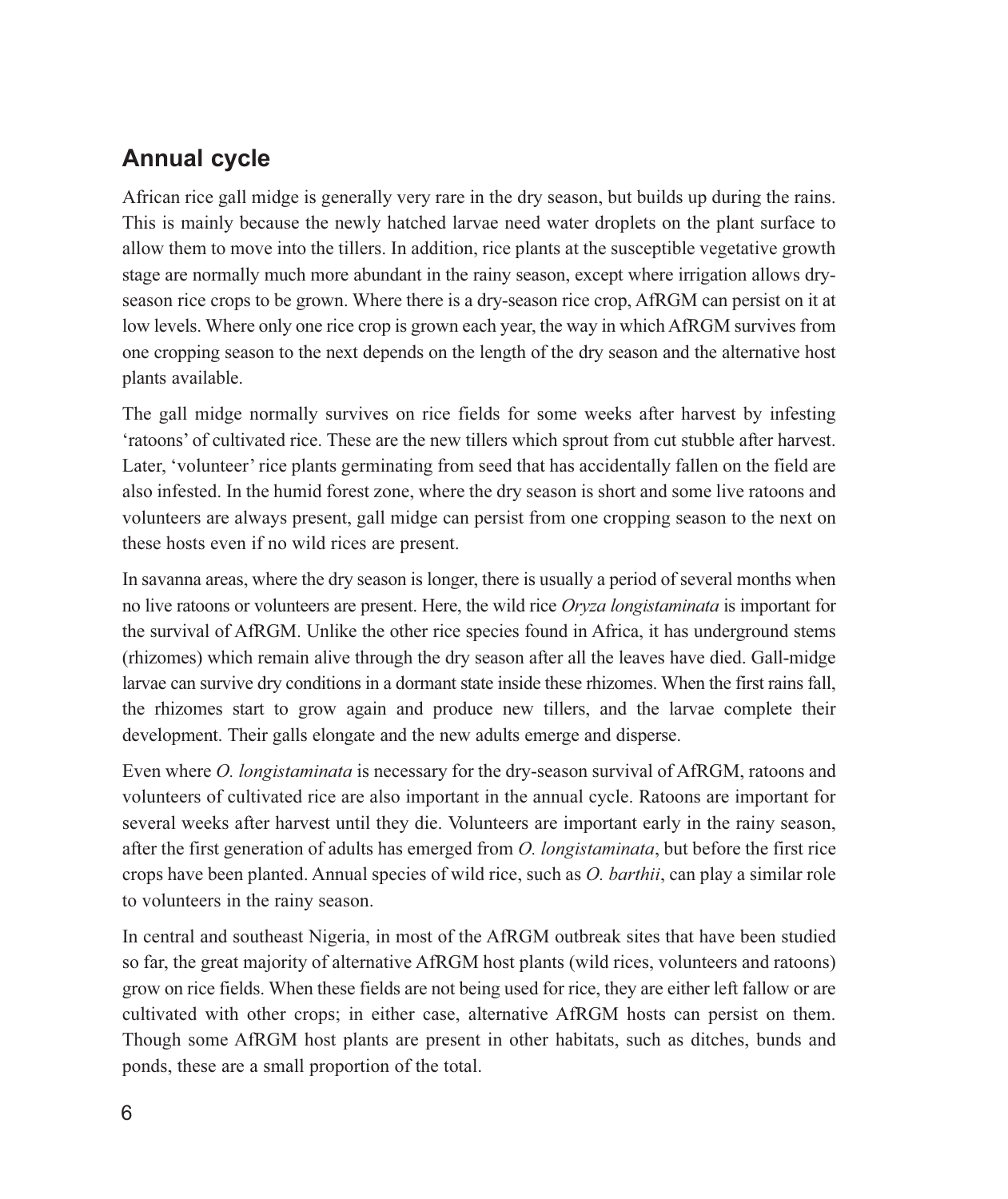## **Annual cycle**

African rice gall midge is generally very rare in the dry season, but builds up during the rains. This is mainly because the newly hatched larvae need water droplets on the plant surface to allow them to move into the tillers. In addition, rice plants at the susceptible vegetative growth stage are normally much more abundant in the rainy season, except where irrigation allows dryseason rice crops to be grown. Where there is a dry-season rice crop, AfRGM can persist on it at low levels. Where only one rice crop is grown each year, the way in which AfRGM survives from one cropping season to the next depends on the length of the dry season and the alternative host plants available.

The gall midge normally survives on rice fields for some weeks after harvest by infesting 'ratoons' of cultivated rice. These are the new tillers which sprout from cut stubble after harvest. Later, 'volunteer' rice plants germinating from seed that has accidentally fallen on the field are also infested. In the humid forest zone, where the dry season is short and some live ratoons and volunteers are always present, gall midge can persist from one cropping season to the next on these hosts even if no wild rices are present.

In savanna areas, where the dry season is longer, there is usually a period of several months when no live rations or volunteers are present. Here, the wild rice Oryza longistaminata is important for the survival of AfRGM. Unlike the other rice species found in Africa, it has underground stems (rhizomes) which remain alive through the dry season after all the leaves have died. Gall-midge larvae can survive dry conditions in a dormant state inside these rhizomes. When the first rains fall, the rhizomes start to grow again and produce new tillers, and the larvae complete their development. Their galls elongate and the new adults emerge and disperse.

Even where *O. longistaminata* is necessary for the dry-season survival of AfRGM, ratoons and volunteers of cultivated rice are also important in the annual cycle. Ratoons are important for several weeks after harvest until they die. Volunteers are important early in the rainy season, after the first generation of adults has emerged from *O. longistaminata*, but before the first rice crops have been planted. Annual species of wild rice, such as O. barthii, can play a similar role to volunteers in the rainy season.

In central and southeast Nigeria, in most of the AfRGM outbreak sites that have been studied so far, the great majority of alternative AfRGM host plants (wild rices, volunteers and rations) grow on rice fields. When these fields are not being used for rice, they are either left fallow or are cultivated with other crops; in either case, alternative AfRGM hosts can persist on them. Though some AfRGM host plants are present in other habitats, such as ditches, bunds and ponds, these are a small proportion of the total.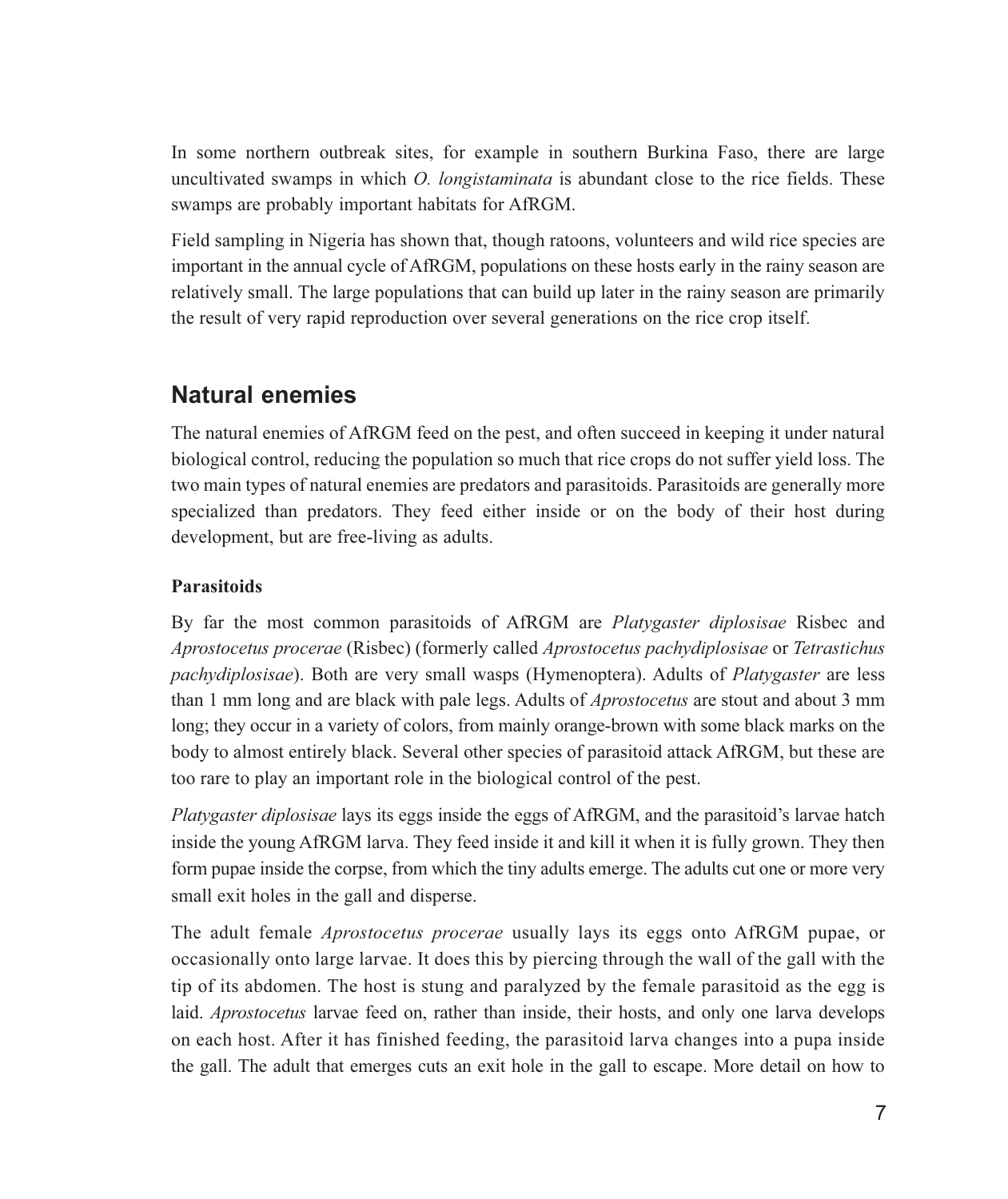In some northern outbreak sites, for example in southern Burkina Faso, there are large uncultivated swamps in which *O. longistaminata* is abundant close to the rice fields. These swamps are probably important habitats for AfRGM.

Field sampling in Nigeria has shown that, though ratoons, volunteers and wild rice species are important in the annual cycle of AfRGM, populations on these hosts early in the rainy season are relatively small. The large populations that can build up later in the rainy season are primarily the result of very rapid reproduction over several generations on the rice crop itself.

#### **Natural enemies**

The natural enemies of AfRGM feed on the pest, and often succeed in keeping it under natural biological control, reducing the population so much that rice crops do not suffer yield loss. The two main types of natural enemies are predators and parasitoids. Parasitoids are generally more specialized than predators. They feed either inside or on the body of their host during development, but are free-living as adults.

#### **Parasitoids**

By far the most common parasitoids of AfRGM are *Platygaster diplosisae* Risbec and Aprostocetus procerae (Risbec) (formerly called Aprostocetus pachydiplosisae or Tetrastichus *pachydiplosisae*). Both are very small wasps (Hymenoptera). Adults of *Platygaster* are less than 1 mm long and are black with pale legs. Adults of *Aprostocetus* are stout and about 3 mm long; they occur in a variety of colors, from mainly orange-brown with some black marks on the body to almost entirely black. Several other species of parasitoid attack AfRGM, but these are too rare to play an important role in the biological control of the pest.

Platygaster diplosisae lays its eggs inside the eggs of AfRGM, and the parasitoid's larvae hatch inside the young AfRGM larva. They feed inside it and kill it when it is fully grown. They then form pupae inside the corpse, from which the tiny adults emerge. The adults cut one or more very small exit holes in the gall and disperse.

The adult female *Aprostocetus procerae* usually lays its eggs onto AfRGM pupae, or occasionally onto large larvae. It does this by piercing through the wall of the gall with the tip of its abdomen. The host is stung and paralyzed by the female parasitoid as the egg is laid. *Aprostocetus* larvae feed on, rather than inside, their hosts, and only one larva develops on each host. After it has finished feeding, the parasitoid larva changes into a pupa inside the gall. The adult that emerges cuts an exit hole in the gall to escape. More detail on how to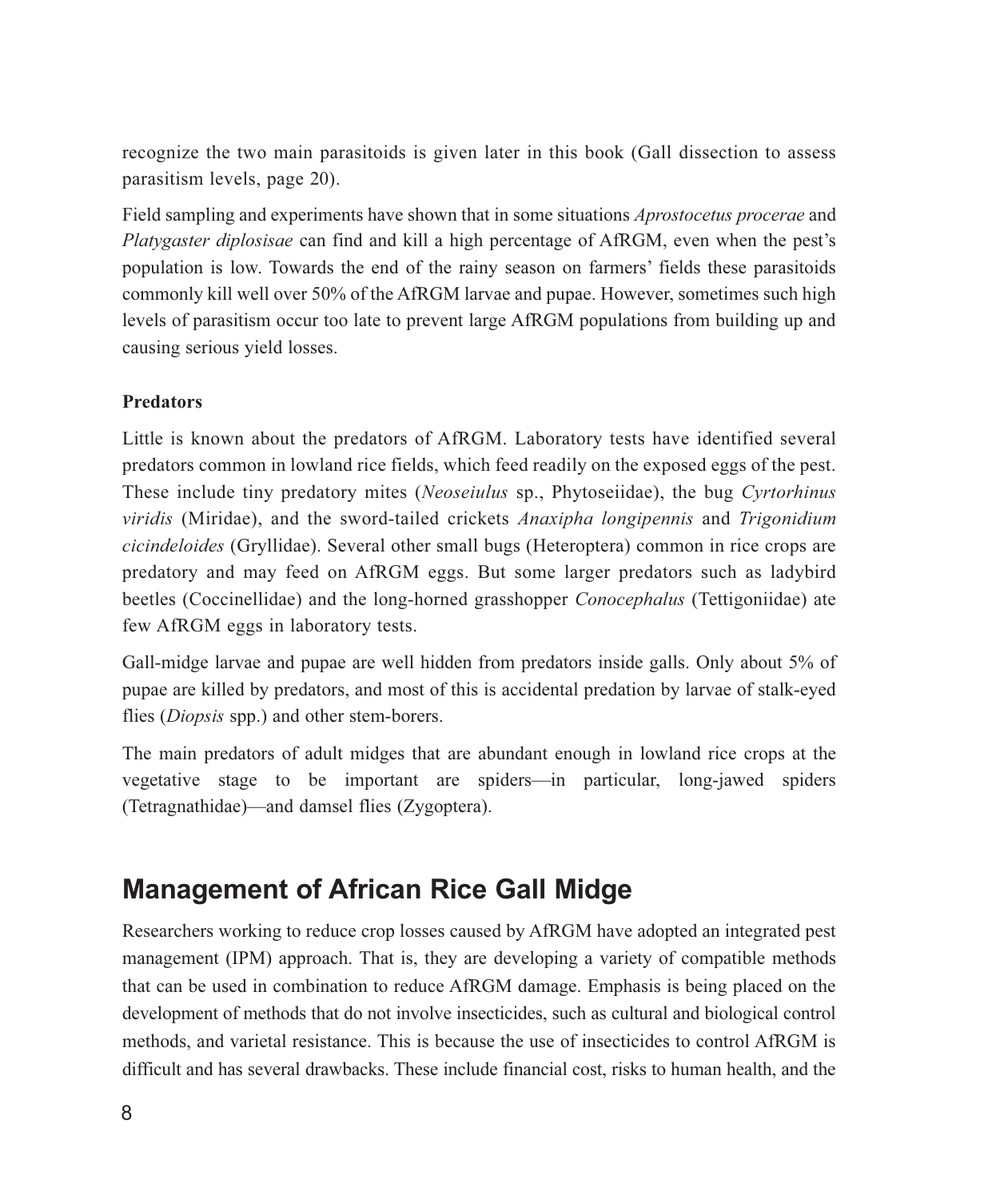recognize the two main parasitoids is given later in this book (Gall dissection to assess parasitism levels, page 20).

Field sampling and experiments have shown that in some situations *Aprostocetus procerae* and Platygaster diplosisae can find and kill a high percentage of AfRGM, even when the pest's population is low. Towards the end of the rainy season on farmers' fields these parasitoids commonly kill well over 50% of the AfRGM larvae and pupae. However, sometimes such high levels of parasitism occur too late to prevent large AfRGM populations from building up and causing serious yield losses.

#### **Predators**

Little is known about the predators of AfRGM. Laboratory tests have identified several predators common in lowland rice fields, which feed readily on the exposed eggs of the pest. These include tiny predatory mites (Neoseiulus sp., Phytoseiidae), the bug Cyrtorhinus viridis (Miridae), and the sword-tailed crickets Anaxipha longipennis and Trigonidium *cicindeloides* (Gryllidae). Several other small bugs (Heteroptera) common in rice crops are predatory and may feed on AfRGM eggs. But some larger predators such as ladybird beetles (Coccinellidae) and the long-horned grasshopper *Conocephalus* (Tettigoniidae) ate few AfRGM eggs in laboratory tests.

Gall-midge larvae and pupae are well hidden from predators inside galls. Only about 5% of pupae are killed by predators, and most of this is accidental predation by larvae of stalk-eyed flies (*Diopsis* spp.) and other stem-borers.

The main predators of adult midges that are abundant enough in lowland rice crops at the vegetative stage to be important are spiders—in particular, long-jawed spiders (Tetragnathidae)—and damsel flies (Zygoptera).

## **Management of African Rice Gall Midge**

Researchers working to reduce crop losses caused by AfRGM have adopted an integrated pest management (IPM) approach. That is, they are developing a variety of compatible methods that can be used in combination to reduce AfRGM damage. Emphasis is being placed on the development of methods that do not involve insecticides, such as cultural and biological control methods, and varietal resistance. This is because the use of insecticides to control AfRGM is difficult and has several drawbacks. These include financial cost, risks to human health, and the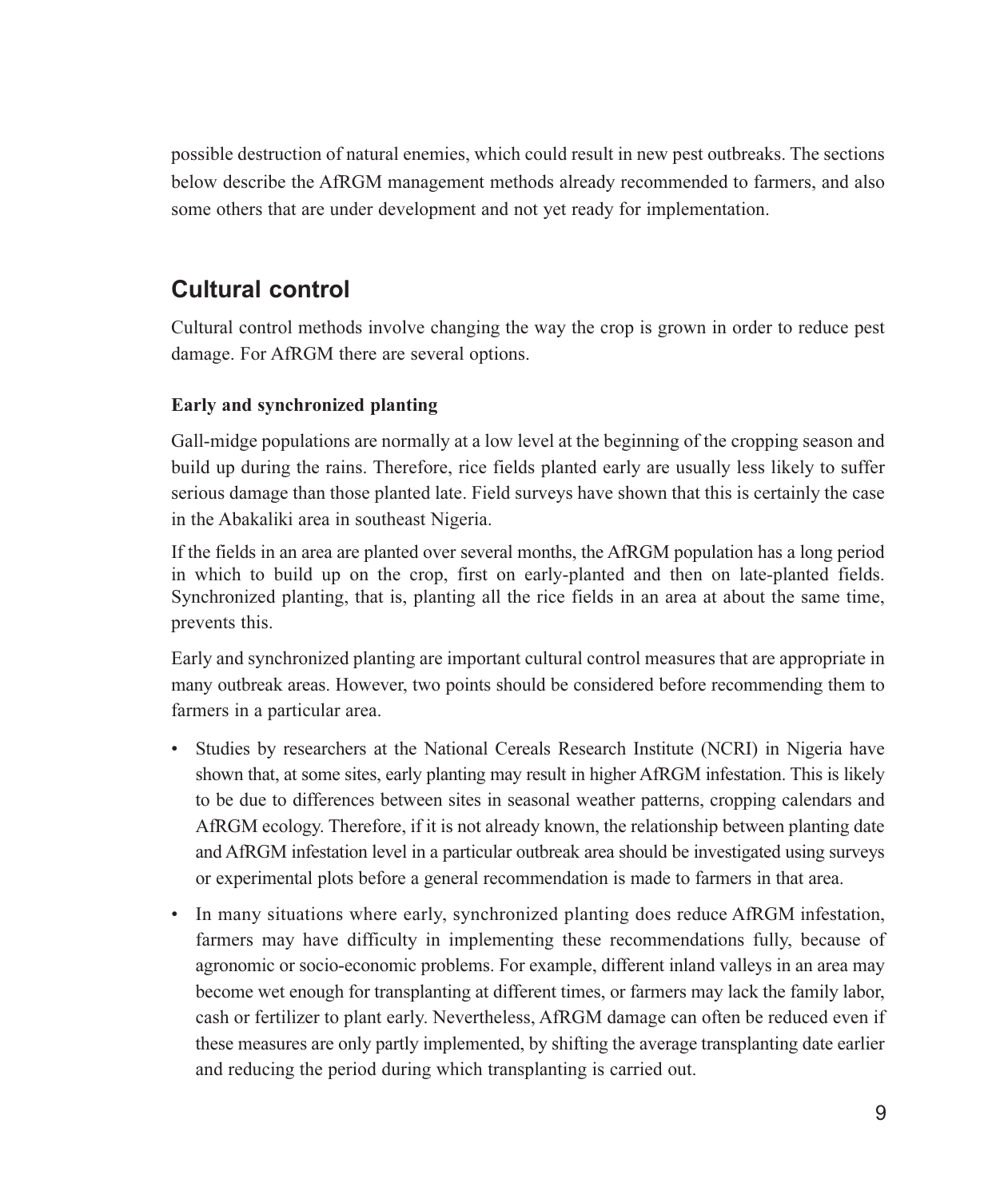possible destruction of natural enemies, which could result in new pest outbreaks. The sections below describe the AfRGM management methods already recommended to farmers, and also some others that are under development and not yet ready for implementation.

## **Cultural control**

Cultural control methods involve changing the way the crop is grown in order to reduce pest damage. For AfRGM there are several options.

#### Early and synchronized planting

Gall-midge populations are normally at a low level at the beginning of the cropping season and build up during the rains. Therefore, rice fields planted early are usually less likely to suffer serious damage than those planted late. Field surveys have shown that this is certainly the case in the Abakaliki area in southeast Nigeria.

If the fields in an area are planted over several months, the AfRGM population has a long period in which to build up on the crop, first on early-planted and then on late-planted fields. Synchronized planting, that is, planting all the rice fields in an area at about the same time, prevents this.

Early and synchronized planting are important cultural control measures that are appropriate in many outbreak areas. However, two points should be considered before recommending them to farmers in a particular area.

- Studies by researchers at the National Cereals Research Institute (NCRI) in Nigeria have shown that, at some sites, early planting may result in higher AfRGM infestation. This is likely to be due to differences between sites in seasonal weather patterns, cropping calendars and AfRGM ecology. Therefore, if it is not already known, the relationship between planting date and AfRGM infestation level in a particular outbreak area should be investigated using surveys or experimental plots before a general recommendation is made to farmers in that area.
- In many situations where early, synchronized planting does reduce AfRGM infestation, farmers may have difficulty in implementing these recommendations fully, because of agronomic or socio-economic problems. For example, different inland valleys in an area may become wet enough for transplanting at different times, or farmers may lack the family labor, cash or fertilizer to plant early. Nevertheless, AfRGM damage can often be reduced even if these measures are only partly implemented, by shifting the average transplanting date earlier and reducing the period during which transplanting is carried out.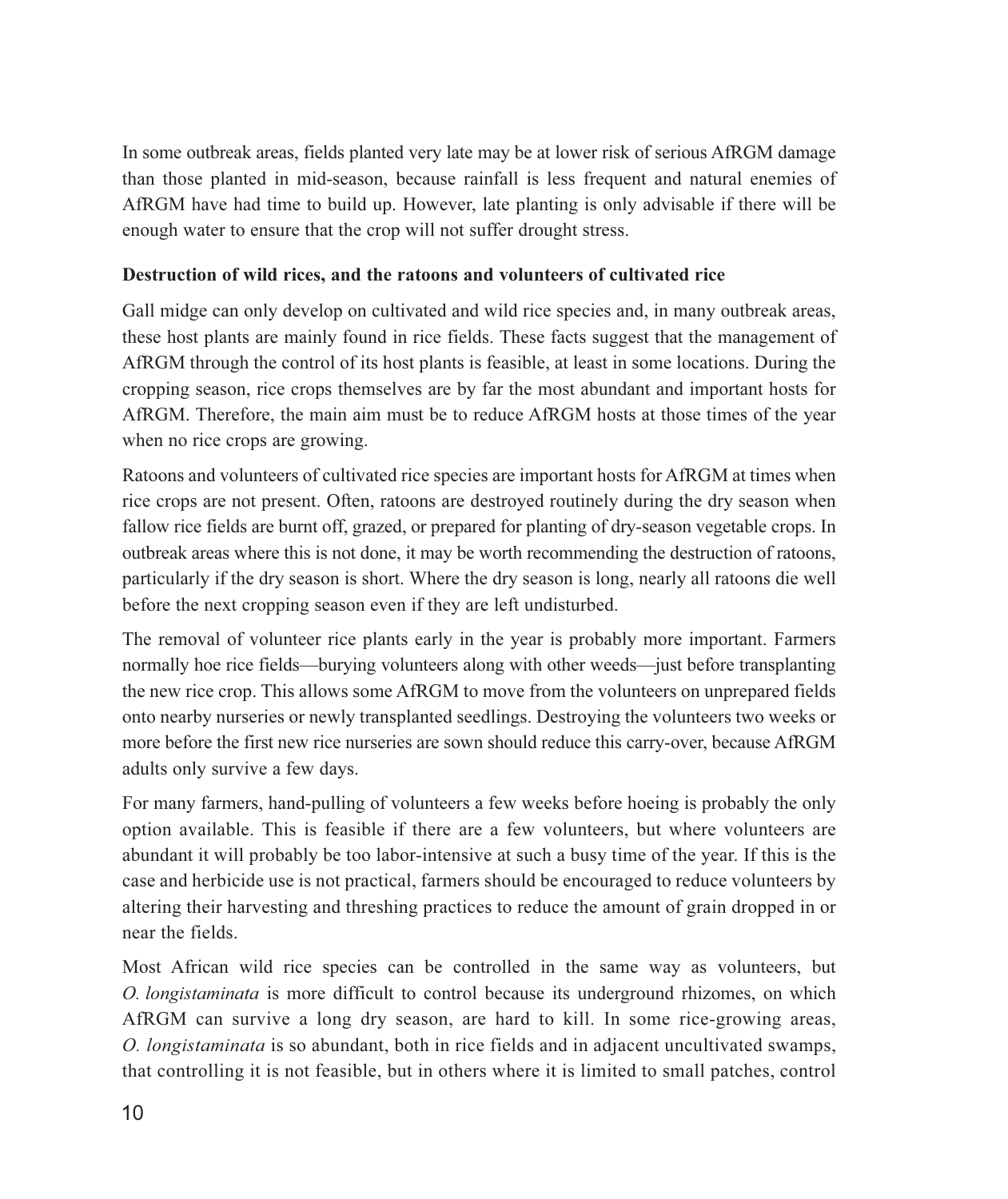In some outbreak areas, fields planted very late may be at lower risk of serious AfRGM damage than those planted in mid-season, because rainfall is less frequent and natural enemies of AfRGM have had time to build up. However, late planting is only advisable if there will be enough water to ensure that the crop will not suffer drought stress.

#### Destruction of wild rices, and the ratoons and volunteers of cultivated rice

Gall midge can only develop on cultivated and wild rice species and, in many outbreak areas, these host plants are mainly found in rice fields. These facts suggest that the management of AfRGM through the control of its host plants is feasible, at least in some locations. During the cropping season, rice crops themselves are by far the most abundant and important hosts for AfRGM. Therefore, the main aim must be to reduce AfRGM hosts at those times of the year when no rice crops are growing.

Rations and volunteers of cultivated rice species are important hosts for AfRGM at times when rice crops are not present. Often, rations are destroyed routinely during the dry season when fallow rice fields are burnt off, grazed, or prepared for planting of dry-season vegetable crops. In outbreak areas where this is not done, it may be worth recommending the destruction of ratoons, particularly if the dry season is short. Where the dry season is long, nearly all ratoons die well before the next cropping season even if they are left undisturbed.

The removal of volunteer rice plants early in the year is probably more important. Farmers normally hoe rice fields—burying volunteers along with other weeds—just before transplanting the new rice crop. This allows some AfRGM to move from the volunteers on unprepared fields onto nearby nurseries or newly transplanted seedlings. Destroying the volunteers two weeks or more before the first new rice nurseries are sown should reduce this carry-over, because AfRGM adults only survive a few days.

For many farmers, hand-pulling of volunteers a few weeks before hoeing is probably the only option available. This is feasible if there are a few volunteers, but where volunteers are abundant it will probably be too labor-intensive at such a busy time of the year. If this is the case and herbicide use is not practical, farmers should be encouraged to reduce volunteers by altering their harvesting and threshing practices to reduce the amount of grain dropped in or near the fields.

Most African wild rice species can be controlled in the same way as volunteers, but *O. longistaminata* is more difficult to control because its underground rhizomes, on which AfRGM can survive a long dry season, are hard to kill. In some rice-growing areas, O. longistaminata is so abundant, both in rice fields and in adjacent uncultivated swamps, that controlling it is not feasible, but in others where it is limited to small patches, control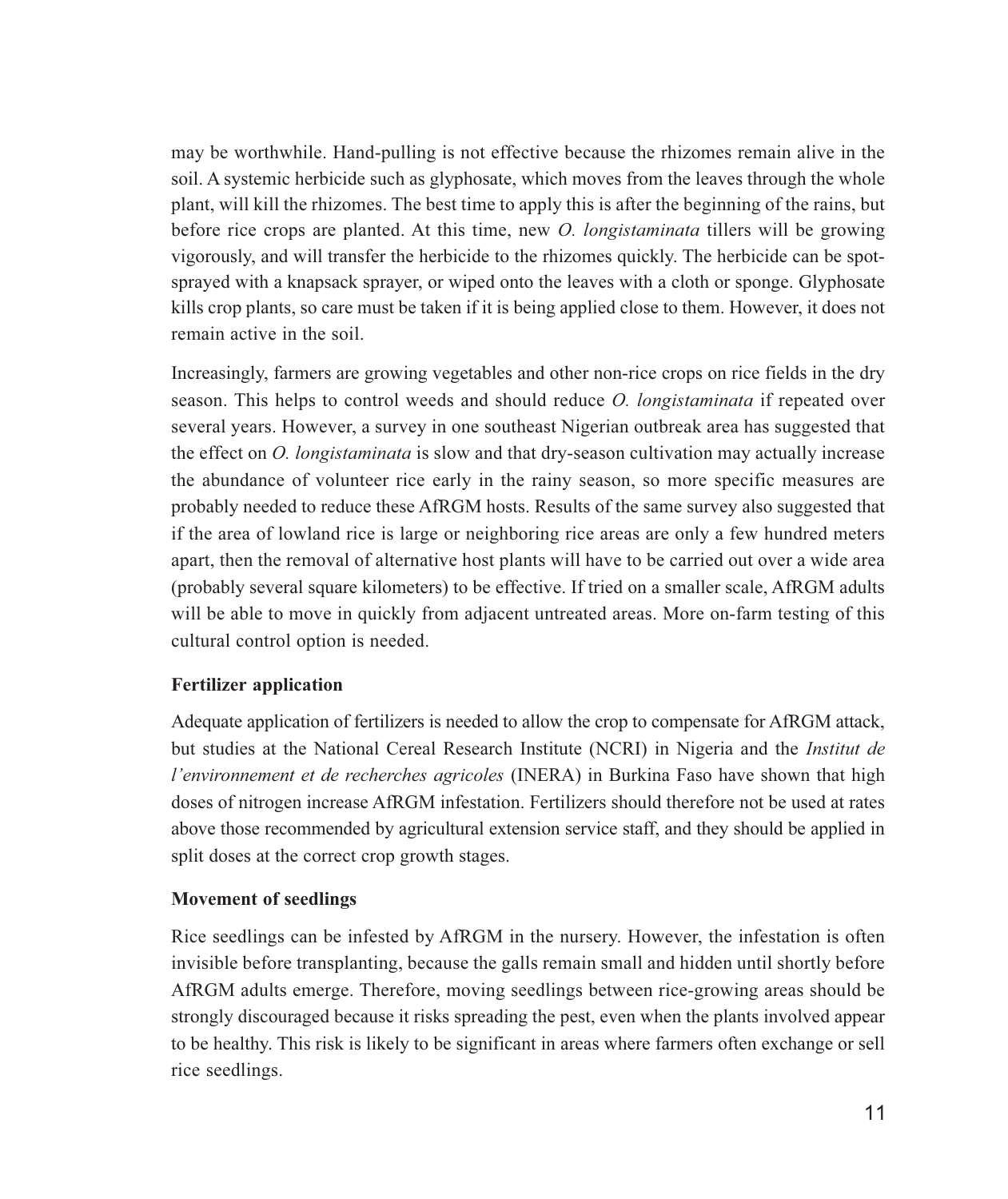may be worthwhile. Hand-pulling is not effective because the rhizomes remain alive in the soil. A systemic herbicide such as glyphosate, which moves from the leaves through the whole plant, will kill the rhizomes. The best time to apply this is after the beginning of the rains, but before rice crops are planted. At this time, new *O. longistaminata* tillers will be growing vigorously, and will transfer the herbicide to the rhizomes quickly. The herbicide can be spotsprayed with a knapsack sprayer, or wiped onto the leaves with a cloth or sponge. Glyphosate kills crop plants, so care must be taken if it is being applied close to them. However, it does not remain active in the soil.

Increasingly, farmers are growing vegetables and other non-rice crops on rice fields in the dry season. This helps to control weeds and should reduce O. longistaminata if repeated over several years. However, a survey in one southeast Nigerian outbreak area has suggested that the effect on *O. longistaminata* is slow and that dry-season cultivation may actually increase the abundance of volunteer rice early in the rainy season, so more specific measures are probably needed to reduce these AfRGM hosts. Results of the same survey also suggested that if the area of lowland rice is large or neighboring rice areas are only a few hundred meters apart, then the removal of alternative host plants will have to be carried out over a wide area (probably several square kilometers) to be effective. If tried on a smaller scale, AfRGM adults will be able to move in quickly from adjacent untreated areas. More on-farm testing of this cultural control option is needed.

#### **Fertilizer application**

Adequate application of fertilizers is needed to allow the crop to compensate for AfRGM attack, but studies at the National Cereal Research Institute (NCRI) in Nigeria and the *Institut de l'environnement et de recherches agricoles* (INERA) in Burkina Faso have shown that high doses of nitrogen increase AfRGM infestation. Fertilizers should therefore not be used at rates above those recommended by agricultural extension service staff, and they should be applied in split doses at the correct crop growth stages.

#### **Movement of seedlings**

Rice seedlings can be infested by AfRGM in the nursery. However, the infestation is often invisible before transplanting, because the galls remain small and hidden until shortly before AfRGM adults emerge. Therefore, moving seedlings between rice-growing areas should be strongly discouraged because it risks spreading the pest, even when the plants involved appear to be healthy. This risk is likely to be significant in areas where farmers often exchange or sell rice seedlings.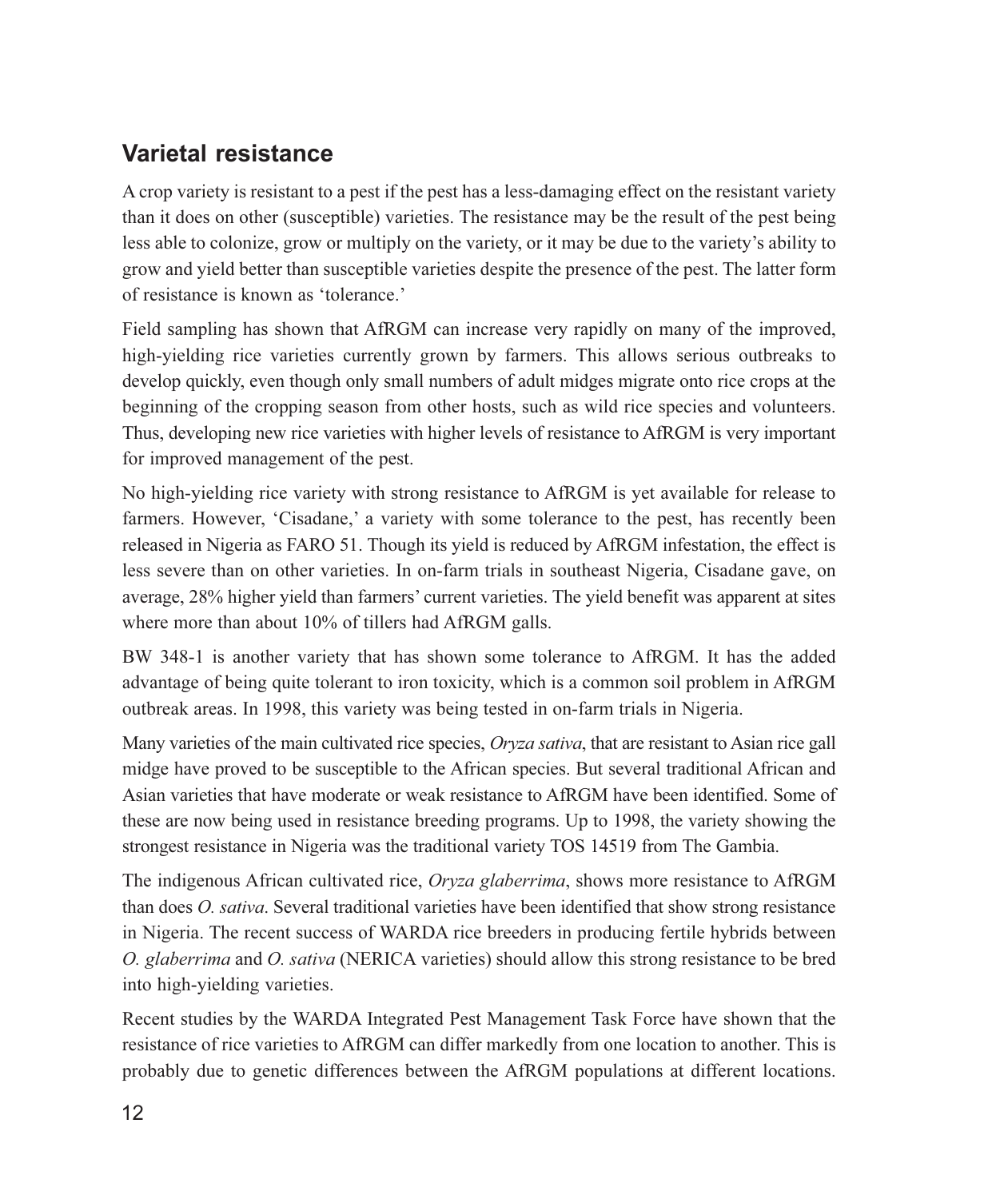## **Varietal resistance**

A crop variety is resistant to a pest if the pest has a less-damaging effect on the resistant variety than it does on other (susceptible) varieties. The resistance may be the result of the pest being less able to colonize, grow or multiply on the variety, or it may be due to the variety's ability to grow and yield better than susceptible varieties despite the presence of the pest. The latter form of resistance is known as 'tolerance.'

Field sampling has shown that AfRGM can increase very rapidly on many of the improved, high-yielding rice varieties currently grown by farmers. This allows serious outbreaks to develop quickly, even though only small numbers of adult midges migrate onto rice crops at the beginning of the cropping season from other hosts, such as wild rice species and volunteers. Thus, developing new rice varieties with higher levels of resistance to AfRGM is very important for improved management of the pest.

No high-yielding rice variety with strong resistance to AfRGM is yet available for release to farmers. However, 'Cisadane,' a variety with some tolerance to the pest, has recently been released in Nigeria as FARO 51. Though its yield is reduced by AfRGM infestation, the effect is less severe than on other varieties. In on-farm trials in southeast Nigeria, Cisadane gave, on average, 28% higher yield than farmers' current varieties. The yield benefit was apparent at sites where more than about 10% of tillers had AfRGM galls.

BW 348-1 is another variety that has shown some tolerance to AfRGM. It has the added advantage of being quite tolerant to iron toxicity, which is a common soil problem in AfRGM outbreak areas. In 1998, this variety was being tested in on-farm trials in Nigeria.

Many varieties of the main cultivated rice species, *Orvza sativa*, that are resistant to Asian rice gall midge have proved to be susceptible to the African species. But several traditional African and Asian varieties that have moderate or weak resistance to AfRGM have been identified. Some of these are now being used in resistance breeding programs. Up to 1998, the variety showing the strongest resistance in Nigeria was the traditional variety TOS 14519 from The Gambia.

The indigenous African cultivated rice, *Oryza glaberrima*, shows more resistance to AfRGM than does *O. sativa*. Several traditional varieties have been identified that show strong resistance in Nigeria. The recent success of WARDA rice breeders in producing fertile hybrids between O. glaberrima and O. sativa (NERICA varieties) should allow this strong resistance to be bred into high-yielding varieties.

Recent studies by the WARDA Integrated Pest Management Task Force have shown that the resistance of rice varieties to AfRGM can differ markedly from one location to another. This is probably due to genetic differences between the AfRGM populations at different locations.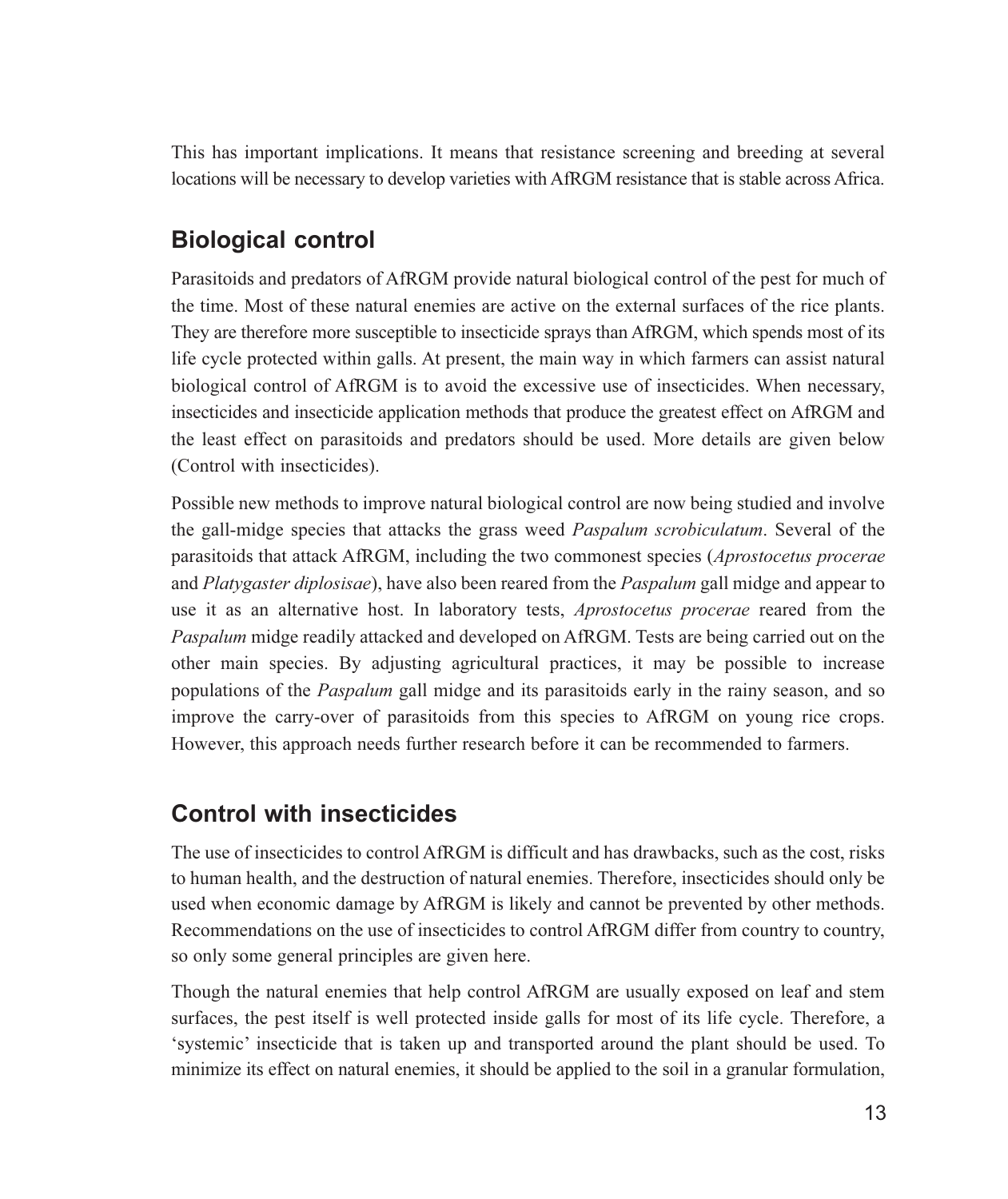This has important implications. It means that resistance screening and breeding at several locations will be necessary to develop varieties with AfRGM resistance that is stable across Africa.

## **Biological control**

Parasitoids and predators of AfRGM provide natural biological control of the pest for much of the time. Most of these natural enemies are active on the external surfaces of the rice plants. They are therefore more susceptible to insecticide sprays than AfRGM, which spends most of its life cycle protected within galls. At present, the main way in which farmers can assist natural biological control of AfRGM is to avoid the excessive use of insecticides. When necessary, insecticides and insecticide application methods that produce the greatest effect on AfRGM and the least effect on parasitoids and predators should be used. More details are given below (Control with insecticides).

Possible new methods to improve natural biological control are now being studied and involve the gall-midge species that attacks the grass weed *Paspalum scrobiculatum*. Several of the parasitoids that attack AfRGM, including the two commonest species (Aprostocetus procerae and *Platygaster diplosisae*), have also been reared from the *Paspalum* gall midge and appear to use it as an alternative host. In laboratory tests, *Aprostocetus procerae* reared from the Paspalum midge readily attacked and developed on AfRGM. Tests are being carried out on the other main species. By adjusting agricultural practices, it may be possible to increase populations of the *Paspalum* gall midge and its parasitoids early in the rainy season, and so improve the carry-over of parasitoids from this species to AfRGM on young rice crops. However, this approach needs further research before it can be recommended to farmers.

### **Control with insecticides**

The use of insecticides to control AfRGM is difficult and has drawbacks, such as the cost, risks to human health, and the destruction of natural enemies. Therefore, insecticides should only be used when economic damage by AfRGM is likely and cannot be prevented by other methods. Recommendations on the use of insecticides to control AfRGM differ from country to country, so only some general principles are given here.

Though the natural enemies that help control AfRGM are usually exposed on leaf and stem surfaces, the pest itself is well protected inside galls for most of its life cycle. Therefore, a 'systemic' insecticide that is taken up and transported around the plant should be used. To minimize its effect on natural enemies, it should be applied to the soil in a granular formulation,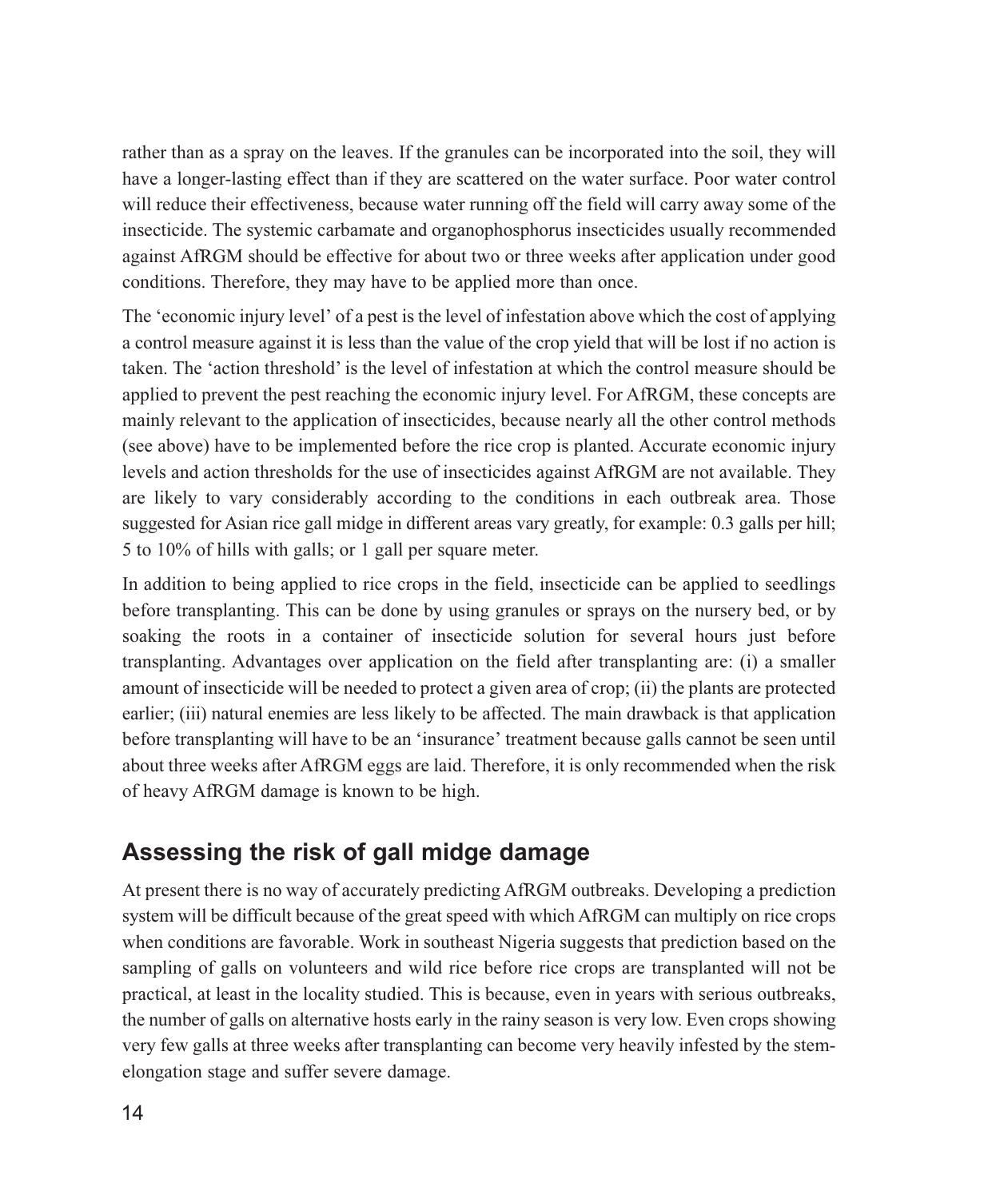rather than as a spray on the leaves. If the granules can be incorporated into the soil, they will have a longer-lasting effect than if they are scattered on the water surface. Poor water control will reduce their effectiveness, because water running off the field will carry away some of the insecticide. The systemic carbamate and organophosphorus insecticides usually recommended against AfRGM should be effective for about two or three weeks after application under good conditions. Therefore, they may have to be applied more than once.

The 'economic injury level' of a pest is the level of infestation above which the cost of applying a control measure against it is less than the value of the crop yield that will be lost if no action is taken. The 'action threshold' is the level of infestation at which the control measure should be applied to prevent the pest reaching the economic injury level. For AfRGM, these concepts are mainly relevant to the application of insecticides, because nearly all the other control methods (see above) have to be implemented before the rice crop is planted. Accurate economic injury levels and action thresholds for the use of insecticides against AfRGM are not available. They are likely to vary considerably according to the conditions in each outbreak area. Those suggested for Asian rice gall midge in different areas vary greatly, for example: 0.3 galls per hill; 5 to 10% of hills with galls; or 1 gall per square meter.

In addition to being applied to rice crops in the field, insecticide can be applied to seedlings before transplanting. This can be done by using granules or sprays on the nursery bed, or by soaking the roots in a container of insecticide solution for several hours just before transplanting. Advantages over application on the field after transplanting are: (i) a smaller amount of insecticide will be needed to protect a given area of crop; (ii) the plants are protected earlier; (iii) natural enemies are less likely to be affected. The main drawback is that application before transplanting will have to be an 'insurance' treatment because galls cannot be seen until about three weeks after AfRGM eggs are laid. Therefore, it is only recommended when the risk of heavy AfRGM damage is known to be high.

#### Assessing the risk of gall midge damage

At present there is no way of accurately predicting AfRGM outbreaks. Developing a prediction system will be difficult because of the great speed with which AfRGM can multiply on rice crops when conditions are favorable. Work in southeast Nigeria suggests that prediction based on the sampling of galls on volunteers and wild rice before rice crops are transplanted will not be practical, at least in the locality studied. This is because, even in years with serious outbreaks, the number of galls on alternative hosts early in the rainy season is very low. Even crops showing very few galls at three weeks after transplanting can become very heavily infested by the stemelongation stage and suffer severe damage.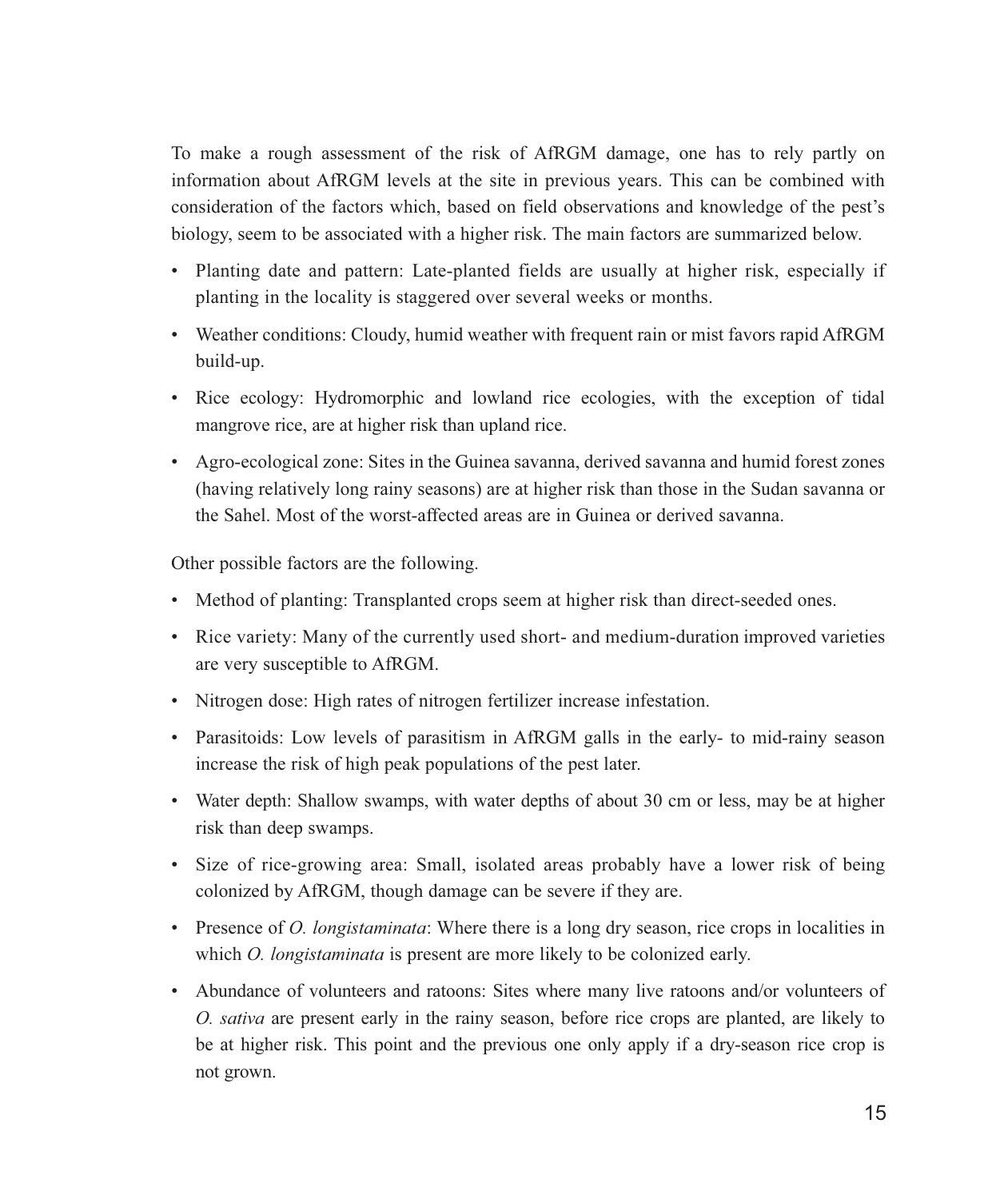To make a rough assessment of the risk of AfRGM damage, one has to rely partly on information about AfRGM levels at the site in previous years. This can be combined with consideration of the factors which, based on field observations and knowledge of the pest's biology, seem to be associated with a higher risk. The main factors are summarized below.

- Planting date and pattern: Late-planted fields are usually at higher risk, especially if planting in the locality is staggered over several weeks or months.
- Weather conditions: Cloudy, humid weather with frequent rain or mist favors rapid AfRGM build-up.
- Rice ecology: Hydromorphic and lowland rice ecologies, with the exception of tidal mangrove rice, are at higher risk than upland rice.
- Agro-ecological zone: Sites in the Guinea savanna, derived savanna and humid forest zones (having relatively long rainy seasons) are at higher risk than those in the Sudan savanna or the Sahel. Most of the worst-affected areas are in Guinea or derived savanna.

Other possible factors are the following.

- Method of planting: Transplanted crops seem at higher risk than direct-seeded ones.
- Rice variety: Many of the currently used short- and medium-duration improved varieties are very susceptible to AfRGM.
- Nitrogen dose: High rates of nitrogen fertilizer increase infestation.
- Parasitoids: Low levels of parasitism in AfRGM galls in the early- to mid-rainy season increase the risk of high peak populations of the pest later.
- Water depth: Shallow swamps, with water depths of about 30 cm or less, may be at higher risk than deep swamps.
- Size of rice-growing area: Small, isolated areas probably have a lower risk of being colonized by AfRGM, though damage can be severe if they are.
- Presence of *O. longistaminata*: Where there is a long dry season, rice crops in localities in which *O. longistaminata* is present are more likely to be colonized early.
- Abundance of volunteers and ratoons: Sites where many live ratoons and/or volunteers of O. sativa are present early in the rainy season, before rice crops are planted, are likely to be at higher risk. This point and the previous one only apply if a dry-season rice crop is not grown.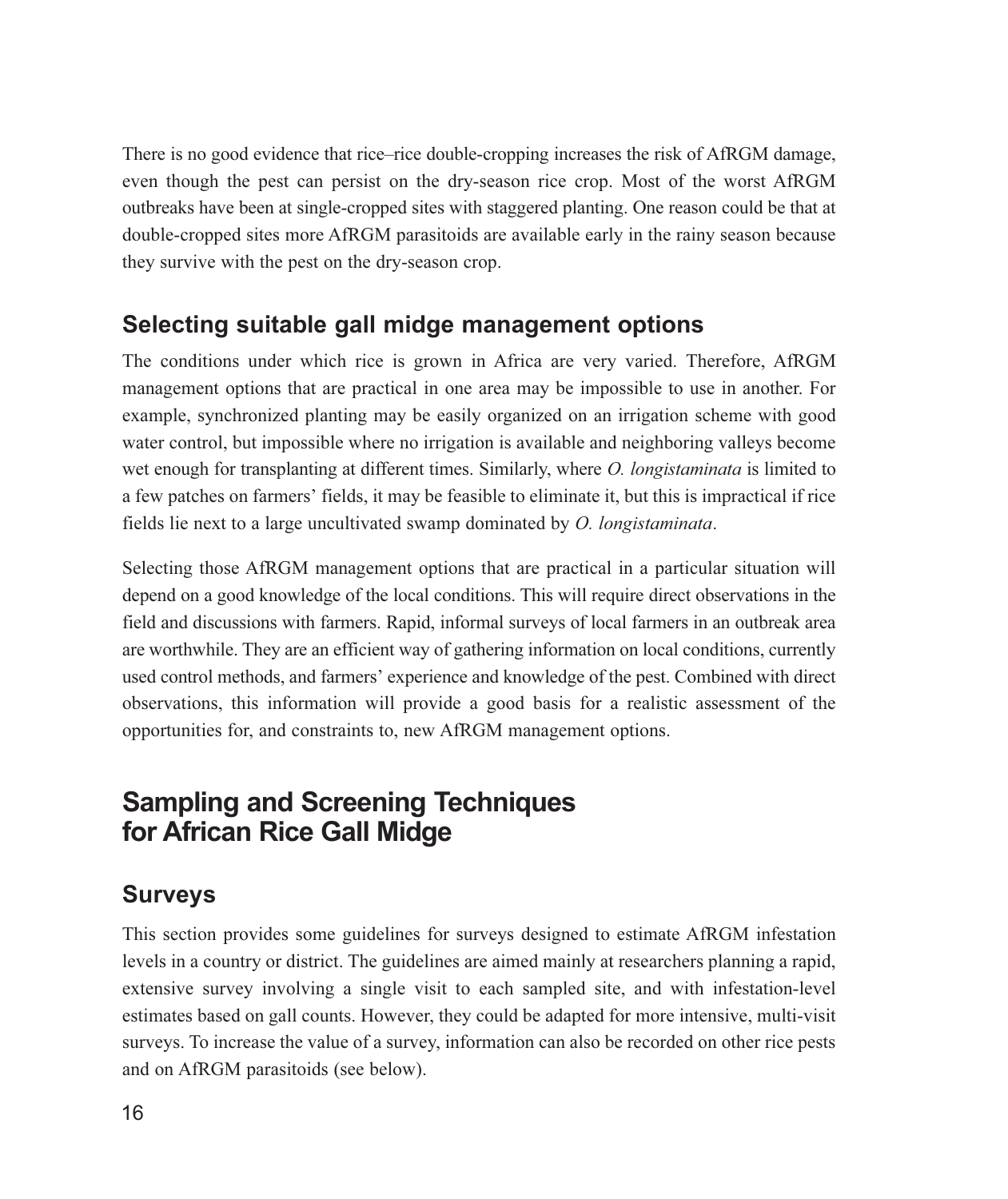There is no good evidence that rice–rice double-cropping increases the risk of AfRGM damage, even though the pest can persist on the dry-season rice crop. Most of the worst AfRGM outbreaks have been at single-cropped sites with staggered planting. One reason could be that at double-cropped sites more AfRGM parasitoids are available early in the rainy season because they survive with the pest on the dry-season crop.

#### Selecting suitable gall midge management options

The conditions under which rice is grown in Africa are very varied. Therefore, AfRGM management options that are practical in one area may be impossible to use in another. For example, synchronized planting may be easily organized on an irrigation scheme with good water control, but impossible where no irrigation is available and neighboring valleys become wet enough for transplanting at different times. Similarly, where *O. longistaminata* is limited to a few patches on farmers' fields, it may be feasible to eliminate it, but this is impractical if rice fields lie next to a large uncultivated swamp dominated by O. longistaminata.

Selecting those AfRGM management options that are practical in a particular situation will depend on a good knowledge of the local conditions. This will require direct observations in the field and discussions with farmers. Rapid, informal surveys of local farmers in an outbreak area are worthwhile. They are an efficient way of gathering information on local conditions, currently used control methods, and farmers' experience and knowledge of the pest. Combined with direct observations, this information will provide a good basis for a realistic assessment of the opportunities for, and constraints to, new AfRGM management options.

## **Sampling and Screening Techniques** for African Rice Gall Midge

## **Surveys**

This section provides some guidelines for surveys designed to estimate AfRGM infestation levels in a country or district. The guidelines are aimed mainly at researchers planning a rapid, extensive survey involving a single visit to each sampled site, and with infestation-level estimates based on gall counts. However, they could be adapted for more intensive, multi-visit surveys. To increase the value of a survey, information can also be recorded on other rice pests and on AfRGM parasitoids (see below).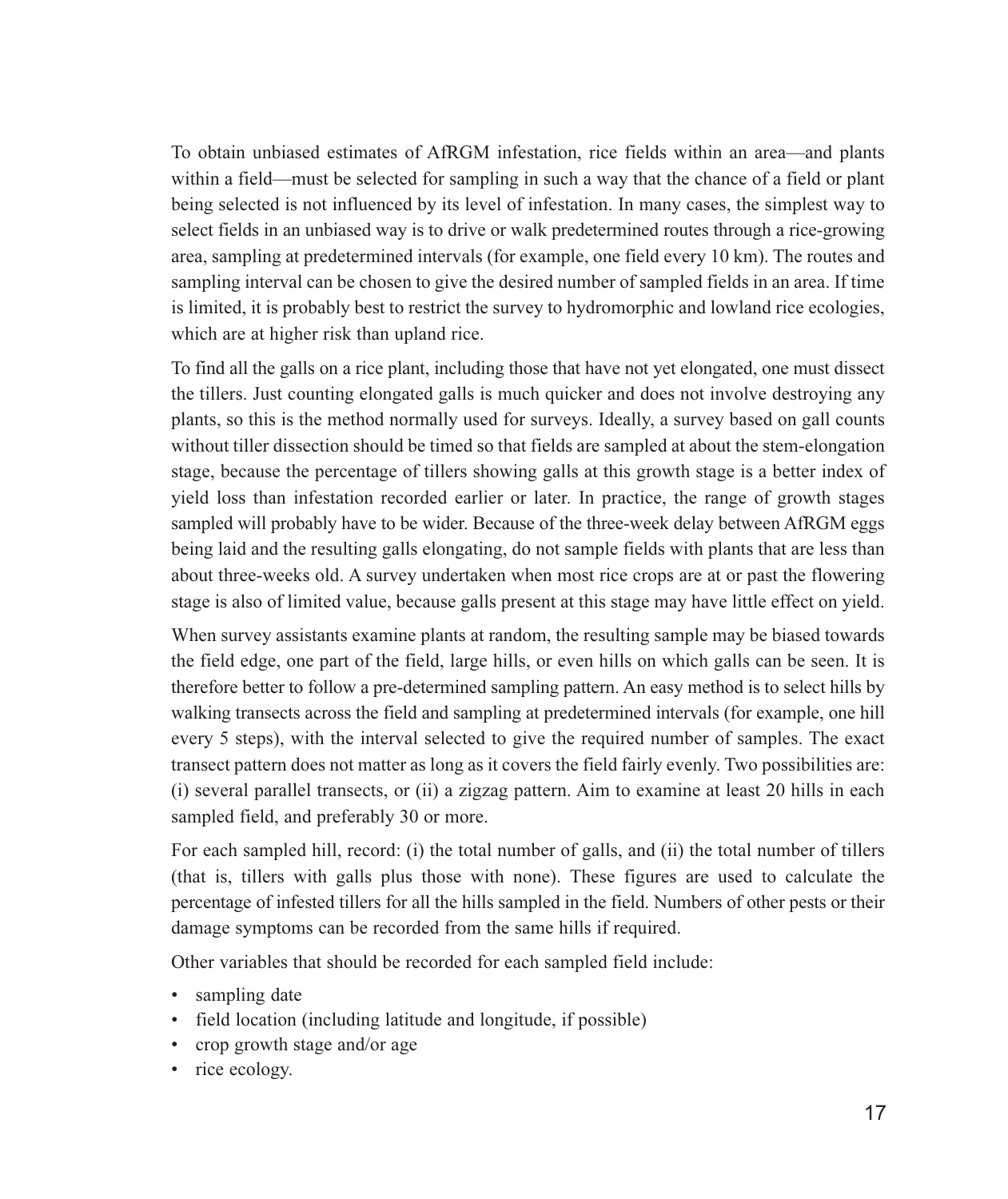To obtain unbiased estimates of AfRGM infestation, rice fields within an area—and plants within a field—must be selected for sampling in such a way that the chance of a field or plant being selected is not influenced by its level of infestation. In many cases, the simplest way to select fields in an unbiased way is to drive or walk predetermined routes through a rice-growing area, sampling at predetermined intervals (for example, one field every 10 km). The routes and sampling interval can be chosen to give the desired number of sampled fields in an area. If time is limited, it is probably best to restrict the survey to hydromorphic and lowland rice ecologies, which are at higher risk than upland rice.

To find all the galls on a rice plant, including those that have not yet elongated, one must dissect the tillers. Just counting elongated galls is much quicker and does not involve destroying any plants, so this is the method normally used for surveys. Ideally, a survey based on gall counts without tiller dissection should be timed so that fields are sampled at about the stem-elongation stage, because the percentage of tillers showing galls at this growth stage is a better index of yield loss than infestation recorded earlier or later. In practice, the range of growth stages sampled will probably have to be wider. Because of the three-week delay between AfRGM eggs being laid and the resulting galls elongating, do not sample fields with plants that are less than about three-weeks old. A survey undertaken when most rice crops are at or past the flowering stage is also of limited value, because galls present at this stage may have little effect on yield.

When survey assistants examine plants at random, the resulting sample may be biased towards the field edge, one part of the field, large hills, or even hills on which galls can be seen. It is therefore better to follow a pre-determined sampling pattern. An easy method is to select hills by walking transects across the field and sampling at predetermined intervals (for example, one hill every 5 steps), with the interval selected to give the required number of samples. The exact transect pattern does not matter as long as it covers the field fairly evenly. Two possibilities are: (i) several parallel transects, or (ii) a zigzag pattern. Aim to examine at least 20 hills in each sampled field, and preferably 30 or more.

For each sampled hill, record: (i) the total number of galls, and (ii) the total number of tillers (that is, tillers with galls plus those with none). These figures are used to calculate the percentage of infested tillers for all the hills sampled in the field. Numbers of other pests or their damage symptoms can be recorded from the same hills if required.

Other variables that should be recorded for each sampled field include:

- sampling date
- field location (including latitude and longitude, if possible)
- crop growth stage and/or age
- rice ecology.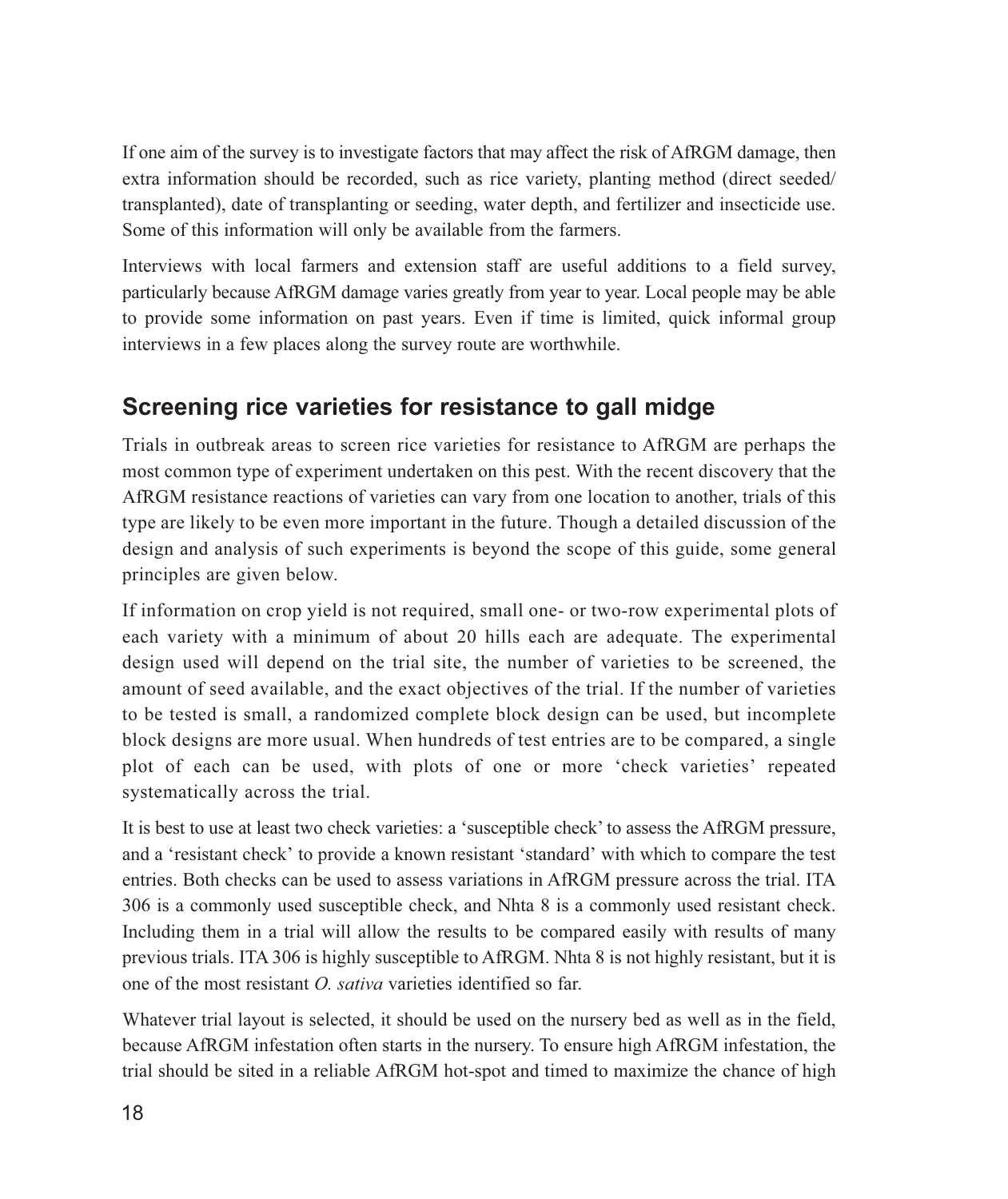If one aim of the survey is to investigate factors that may affect the risk of AfRGM damage, then extra information should be recorded, such as rice variety, planting method (direct seeded) transplanted), date of transplanting or seeding, water depth, and fertilizer and insecticide use. Some of this information will only be available from the farmers.

Interviews with local farmers and extension staff are useful additions to a field survey, particularly because AfRGM damage varies greatly from year to year. Local people may be able to provide some information on past years. Even if time is limited, quick informal group interviews in a few places along the survey route are worthwhile.

## Screening rice varieties for resistance to gall midge

Trials in outbreak areas to screen rice varieties for resistance to AfRGM are perhaps the most common type of experiment undertaken on this pest. With the recent discovery that the AfRGM resistance reactions of varieties can vary from one location to another, trials of this type are likely to be even more important in the future. Though a detailed discussion of the design and analysis of such experiments is beyond the scope of this guide, some general principles are given below.

If information on crop yield is not required, small one- or two-row experimental plots of each variety with a minimum of about 20 hills each are adequate. The experimental design used will depend on the trial site, the number of varieties to be screened, the amount of seed available, and the exact objectives of the trial. If the number of varieties to be tested is small, a randomized complete block design can be used, but incomplete block designs are more usual. When hundreds of test entries are to be compared, a single plot of each can be used, with plots of one or more 'check varieties' repeated systematically across the trial.

It is best to use at least two check varieties: a 'susceptible check' to assess the AfRGM pressure, and a 'resistant check' to provide a known resistant 'standard' with which to compare the test entries. Both checks can be used to assess variations in AfRGM pressure across the trial. ITA 306 is a commonly used susceptible check, and Nhta 8 is a commonly used resistant check. Including them in a trial will allow the results to be compared easily with results of many previous trials. ITA 306 is highly susceptible to AfRGM. Nhta 8 is not highly resistant, but it is one of the most resistant  $Q$ , *sativa* varieties identified so far.

Whatever trial layout is selected, it should be used on the nursery bed as well as in the field, because AfRGM infestation often starts in the nursery. To ensure high AfRGM infestation, the trial should be sited in a reliable AfRGM hot-spot and timed to maximize the chance of high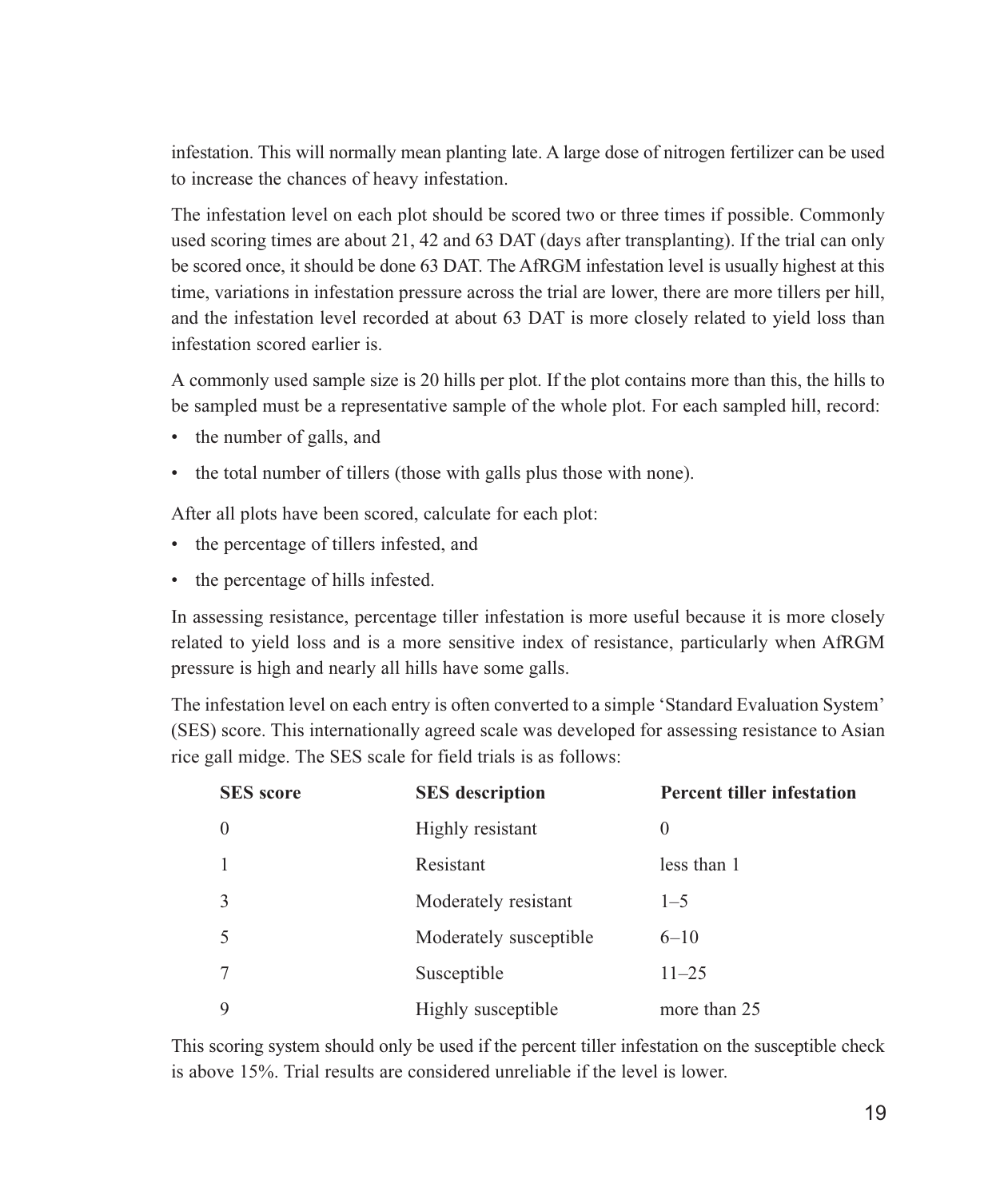infestation. This will normally mean planting late. A large dose of nitrogen fertilizer can be used to increase the chances of heavy infestation.

The infestation level on each plot should be scored two or three times if possible. Commonly used scoring times are about 21, 42 and 63 DAT (days after transplanting). If the trial can only be scored once, it should be done 63 DAT. The AfRGM infestation level is usually highest at this time, variations in infestation pressure across the trial are lower, there are more tillers per hill, and the infestation level recorded at about 63 DAT is more closely related to yield loss than infestation scored earlier is.

A commonly used sample size is 20 hills per plot. If the plot contains more than this, the hills to be sampled must be a representative sample of the whole plot. For each sampled hill, record:

- the number of galls, and
- the total number of tillers (those with galls plus those with none).

After all plots have been scored, calculate for each plot:

- the percentage of tillers infested, and
- the percentage of hills infested.

In assessing resistance, percentage tiller infestation is more useful because it is more closely related to yield loss and is a more sensitive index of resistance, particularly when AfRGM pressure is high and nearly all hills have some galls.

The infestation level on each entry is often converted to a simple 'Standard Evaluation System' (SES) score. This internationally agreed scale was developed for assessing resistance to Asian rice gall midge. The SES scale for field trials is as follows:

| <b>SES</b> score | <b>SES</b> description | <b>Percent tiller infestation</b> |
|------------------|------------------------|-----------------------------------|
| $\Omega$         | Highly resistant       | $\theta$                          |
|                  | Resistant              | less than 1                       |
| $\mathcal{E}$    | Moderately resistant   | $1 - 5$                           |
|                  | Moderately susceptible | $6 - 10$                          |
|                  | Susceptible            | $11 - 25$                         |
| 9                | Highly susceptible     | more than 25                      |

This scoring system should only be used if the percent tiller infestation on the susceptible check is above 15%. Trial results are considered unreliable if the level is lower.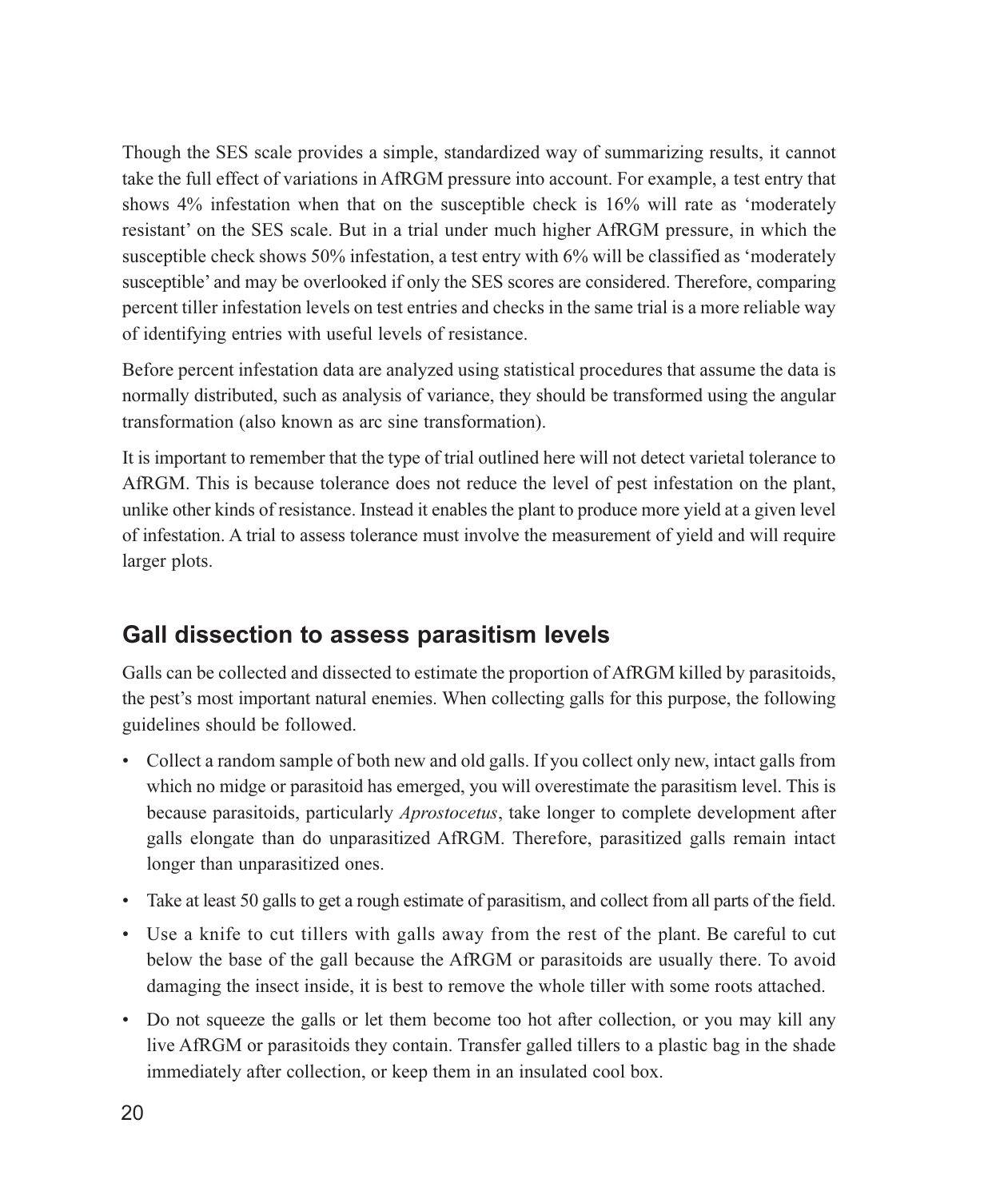Though the SES scale provides a simple, standardized way of summarizing results, it cannot take the full effect of variations in AfRGM pressure into account. For example, a test entry that shows 4% infestation when that on the susceptible check is 16% will rate as 'moderately resistant' on the SES scale. But in a trial under much higher AfRGM pressure, in which the susceptible check shows 50% infestation, a test entry with 6% will be classified as 'moderately susceptible' and may be overlooked if only the SES scores are considered. Therefore, comparing percent tiller infestation levels on test entries and checks in the same trial is a more reliable way of identifying entries with useful levels of resistance.

Before percent infestation data are analyzed using statistical procedures that assume the data is normally distributed, such as analysis of variance, they should be transformed using the angular transformation (also known as arc sine transformation).

It is important to remember that the type of trial outlined here will not detect varietal tolerance to AfRGM. This is because tolerance does not reduce the level of pest infestation on the plant, unlike other kinds of resistance. Instead it enables the plant to produce more yield at a given level of infestation. A trial to assess tolerance must involve the measurement of yield and will require larger plots.

### Gall dissection to assess parasitism levels

Galls can be collected and dissected to estimate the proportion of AfRGM killed by parasitoids, the pest's most important natural enemies. When collecting galls for this purpose, the following guidelines should be followed.

- Collect a random sample of both new and old galls. If you collect only new, intact galls from which no midge or parasitoid has emerged, you will overestimate the parasitism level. This is because parasitoids, particularly *Aprostocetus*, take longer to complete development after galls elongate than do unparasitized AfRGM. Therefore, parasitized galls remain intact longer than unparasitized ones.
- Take at least 50 galls to get a rough estimate of parasitism, and collect from all parts of the field.
- Use a knife to cut tillers with galls away from the rest of the plant. Be careful to cut below the base of the gall because the AfRGM or parasitoids are usually there. To avoid damaging the insect inside, it is best to remove the whole tiller with some roots attached.
- Do not squeeze the galls or let them become too hot after collection, or you may kill any live AfRGM or parasitoids they contain. Transfer galled tillers to a plastic bag in the shade immediately after collection, or keep them in an insulated cool box.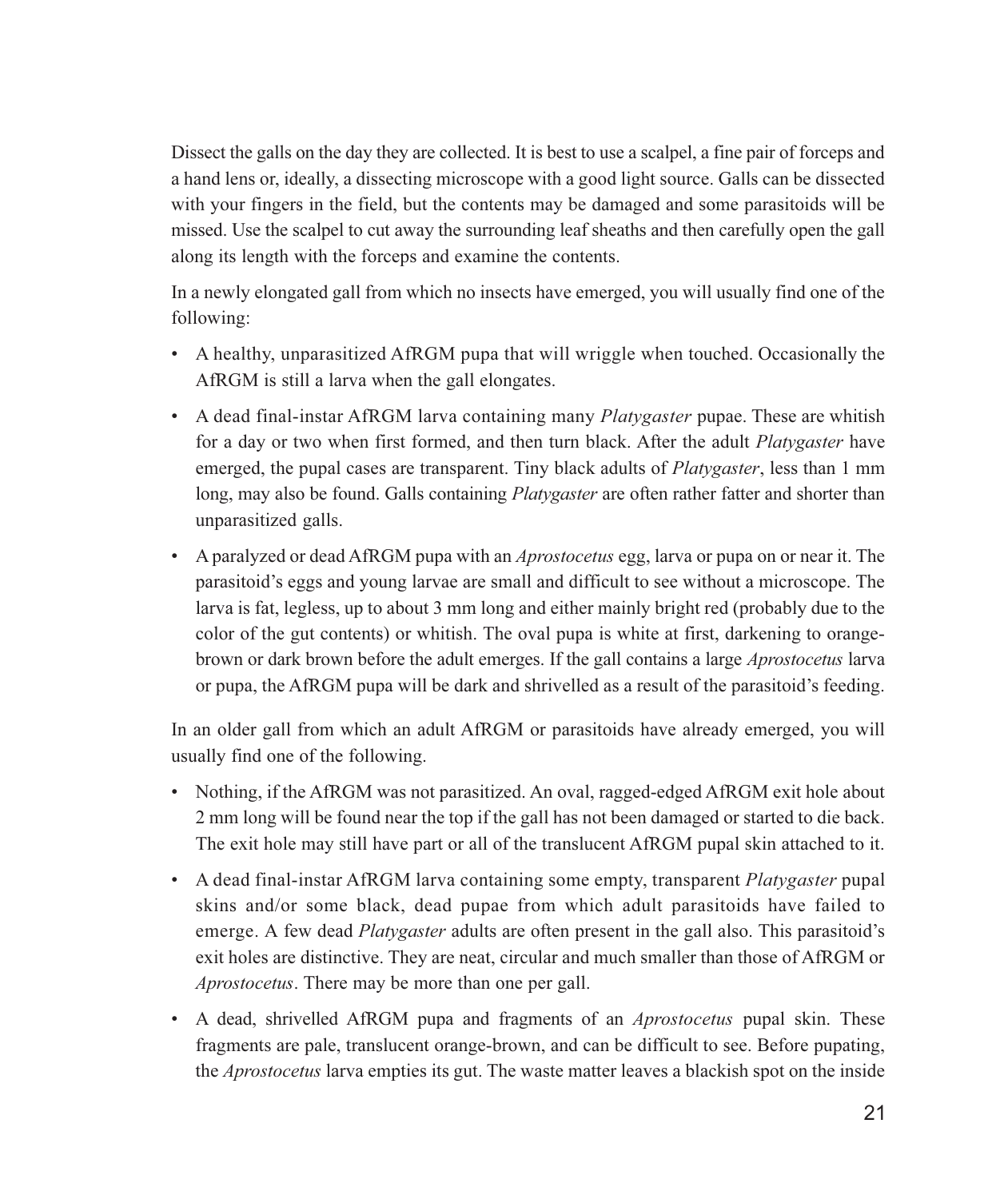Dissect the galls on the day they are collected. It is best to use a scalpel, a fine pair of forceps and a hand lens or, ideally, a dissecting microscope with a good light source. Galls can be dissected with your fingers in the field, but the contents may be damaged and some parasitoids will be missed. Use the scalpel to cut away the surrounding leaf sheaths and then carefully open the gall along its length with the forceps and examine the contents.

In a newly elongated gall from which no insects have emerged, you will usually find one of the following:

- A healthy, unparasitized AfRGM pupa that will wriggle when touched. Occasionally the AfRGM is still a larva when the gall elongates.
- A dead final-instar AfRGM larva containing many *Platygaster* pupae. These are whitish for a day or two when first formed, and then turn black. After the adult *Platygaster* have emerged, the pupal cases are transparent. Tiny black adults of *Platygaster*, less than 1 mm long, may also be found. Galls containing *Platygaster* are often rather fatter and shorter than unparasitized galls.
- A paralyzed or dead AfRGM pupa with an *Aprostocetus* egg, larva or pupa on or near it. The parasitoid's eggs and young larvae are small and difficult to see without a microscope. The larva is fat, legless, up to about 3 mm long and either mainly bright red (probably due to the color of the gut contents) or whitish. The oval pupa is white at first, darkening to orangebrown or dark brown before the adult emerges. If the gall contains a large *Aprostocetus* larva or pupa, the AfRGM pupa will be dark and shrivelled as a result of the parasitoid's feeding.

In an older gall from which an adult AfRGM or parasitoids have already emerged, you will usually find one of the following.

- Nothing, if the AfRGM was not parasitized. An oval, ragged-edged AfRGM exit hole about 2 mm long will be found near the top if the gall has not been damaged or started to die back. The exit hole may still have part or all of the translucent AfRGM pupal skin attached to it.
- A dead final-instar AfRGM larva containing some empty, transparent *Platygaster* pupal skins and/or some black, dead pupae from which adult parasitoids have failed to emerge. A few dead *Platygaster* adults are often present in the gall also. This parasitoid's exit holes are distinctive. They are neat, circular and much smaller than those of AfRGM or Aprostocetus. There may be more than one per gall.
- A dead, shrivelled AfRGM pupa and fragments of an *Aprostocetus* pupal skin. These fragments are pale, translucent orange-brown, and can be difficult to see. Before pupating, the *Aprostocetus* larva empties its gut. The waste matter leaves a blackish spot on the inside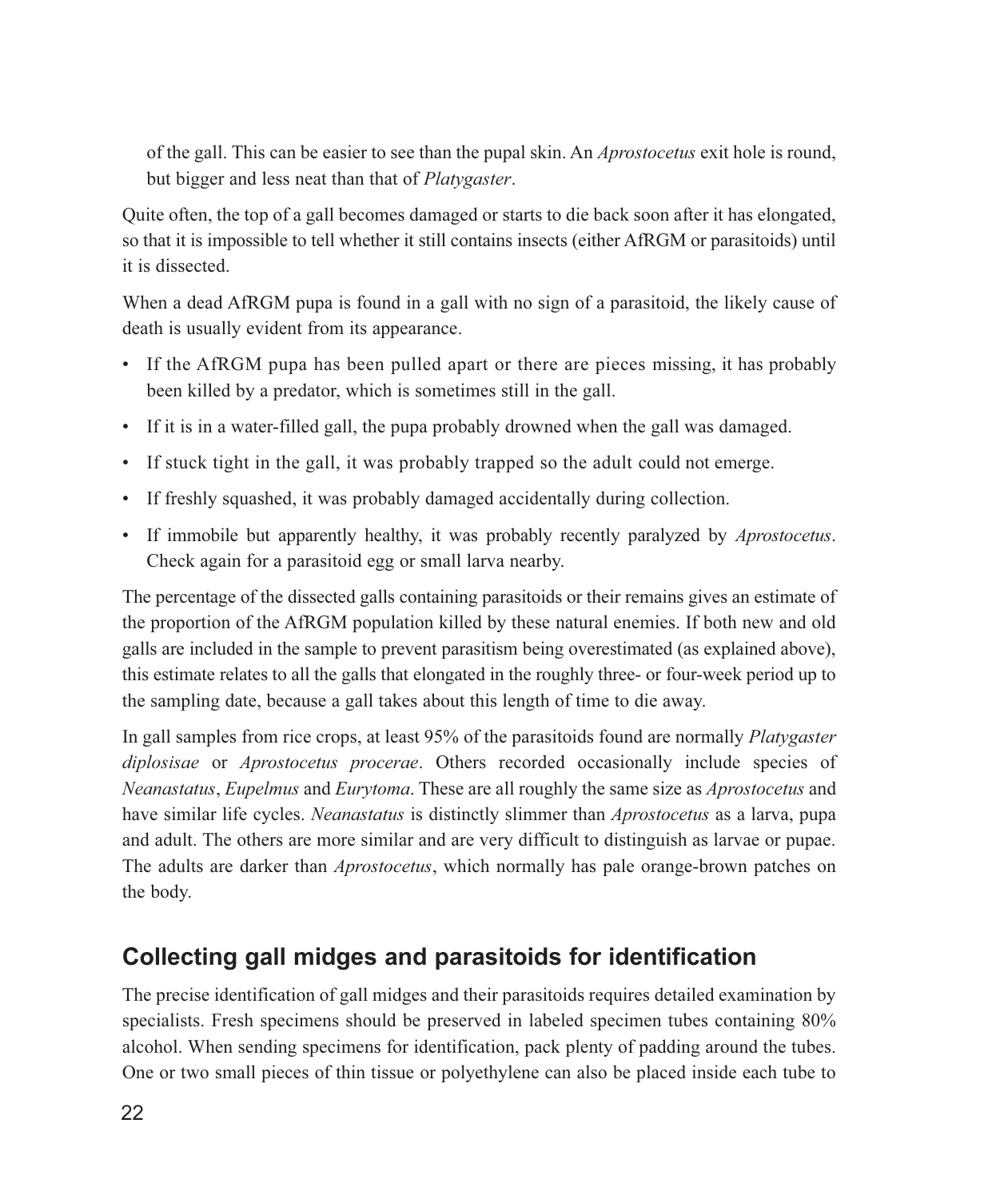of the gall. This can be easier to see than the pupal skin. An *Aprostocetus* exit hole is round, but bigger and less neat than that of *Platygaster*.

Quite often, the top of a gall becomes damaged or starts to die back soon after it has elongated, so that it is impossible to tell whether it still contains insects (either AfRGM or parasitoids) until it is dissected.

When a dead AfRGM pupa is found in a gall with no sign of a parasitoid, the likely cause of death is usually evident from its appearance.

- If the AfRGM pupa has been pulled apart or there are pieces missing, it has probably been killed by a predator, which is sometimes still in the gall.
- If it is in a water-filled gall, the pupa probably drowned when the gall was damaged.
- If stuck tight in the gall, it was probably trapped so the adult could not emerge.
- If freshly squashed, it was probably damaged accidentally during collection.
- If immobile but apparently healthy, it was probably recently paralyzed by *Aprostocetus*. Check again for a parasitoid egg or small larva nearby.

The percentage of the dissected galls containing parasitoids or their remains gives an estimate of the proportion of the AfRGM population killed by these natural enemies. If both new and old galls are included in the sample to prevent parasitism being overestimated (as explained above). this estimate relates to all the galls that elongated in the roughly three- or four-week period up to the sampling date, because a gall takes about this length of time to die away.

In gall samples from rice crops, at least 95% of the parasitoids found are normally *Platygaster* diplosisae or *Aprostocetus procerae*. Others recorded occasionally include species of Neanastatus, Eupelmus and Eurytoma. These are all roughly the same size as Aprostocetus and have similar life cycles. *Neanastatus* is distinctly slimmer than *Aprostocetus* as a larva, pupa and adult. The others are more similar and are very difficult to distinguish as larvae or pupae. The adults are darker than *Aprostocetus*, which normally has pale orange-brown patches on the body.

### Collecting gall midges and parasitoids for identification

The precise identification of gall midges and their parasitoids requires detailed examination by specialists. Fresh specimens should be preserved in labeled specimen tubes containing 80% alcohol. When sending specimens for identification, pack plenty of padding around the tubes. One or two small pieces of thin tissue or polyethylene can also be placed inside each tube to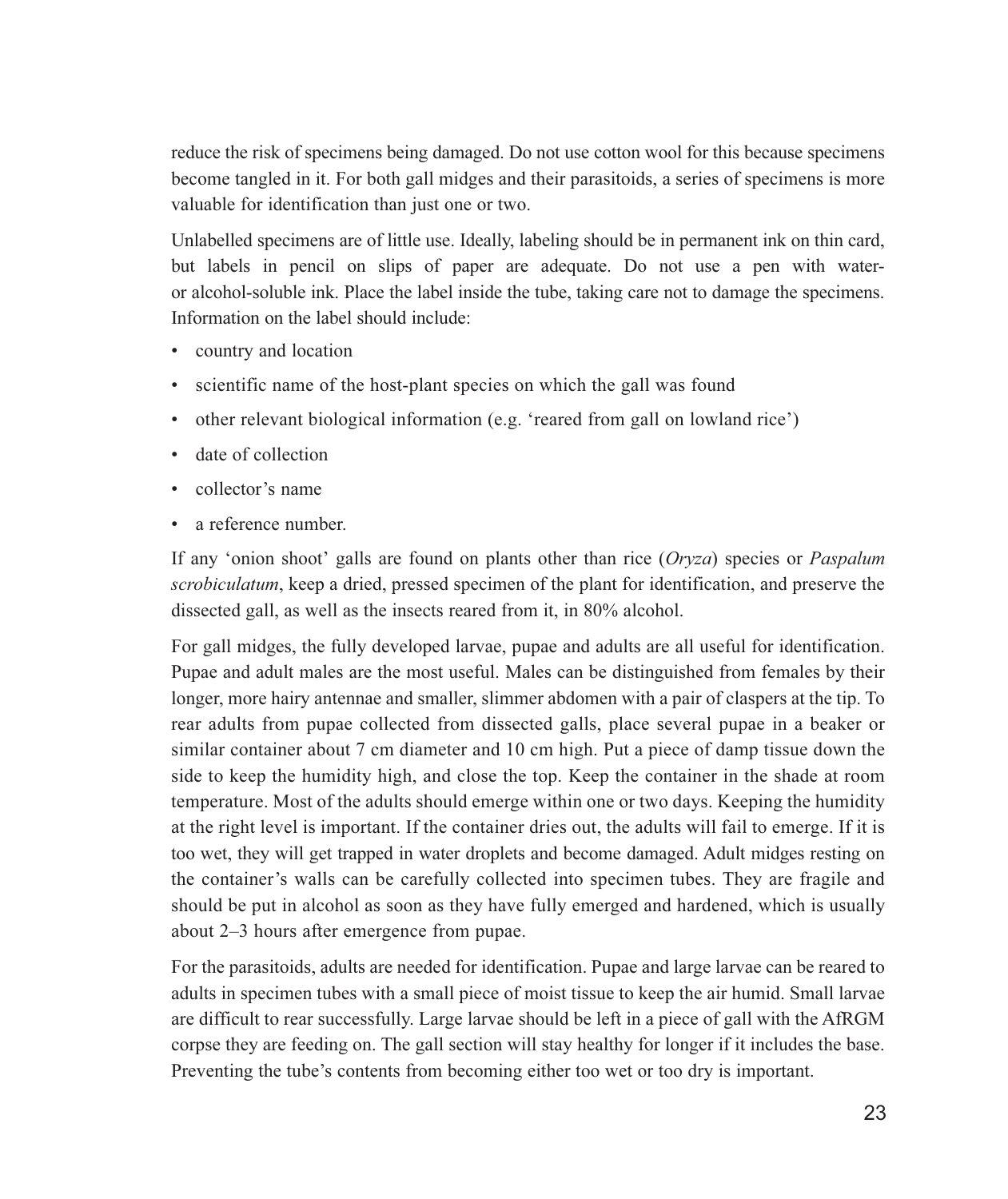reduce the risk of specimens being damaged. Do not use cotton wool for this because specimens become tangled in it. For both gall midges and their parasitoids, a series of specimens is more valuable for identification than just one or two.

Unlabelled specimens are of little use. Ideally, labeling should be in permanent ink on thin card, but labels in pencil on slips of paper are adequate. Do not use a pen with wateror alcohol-soluble ink. Place the label inside the tube, taking care not to damage the specimens. Information on the label should include:

- country and location
- scientific name of the host-plant species on which the gall was found
- other relevant biological information (e.g. 'reared from gall on lowland rice')
- date of collection
- collector's name
- a reference number.

If any 'onion shoot' galls are found on plants other than rice  $Oryzq$  species or *Paspalum scrobiculatum*, keep a dried, pressed specimen of the plant for identification, and preserve the dissected gall, as well as the insects reared from it, in 80% alcohol.

For gall midges, the fully developed larvae, pupae and adults are all useful for identification. Pupae and adult males are the most useful. Males can be distinguished from females by their longer, more hairy antennae and smaller, slimmer abdomen with a pair of claspers at the tip. To rear adults from pupae collected from dissected galls, place several pupae in a beaker or similar container about 7 cm diameter and 10 cm high. Put a piece of damp tissue down the side to keep the humidity high, and close the top. Keep the container in the shade at room temperature. Most of the adults should emerge within one or two days. Keeping the humidity at the right level is important. If the container dries out, the adults will fail to emerge. If it is too wet, they will get trapped in water droplets and become damaged. Adult midges resting on the container's walls can be carefully collected into specimen tubes. They are fragile and should be put in alcohol as soon as they have fully emerged and hardened, which is usually about 2–3 hours after emergence from pupae.

For the parasitoids, adults are needed for identification. Pupae and large larvae can be reared to adults in specimen tubes with a small piece of moist tissue to keep the air humid. Small larvae are difficult to rear successfully. Large larvae should be left in a piece of gall with the AfRGM corpse they are feeding on. The gall section will stay healthy for longer if it includes the base. Preventing the tube's contents from becoming either too wet or too dry is important.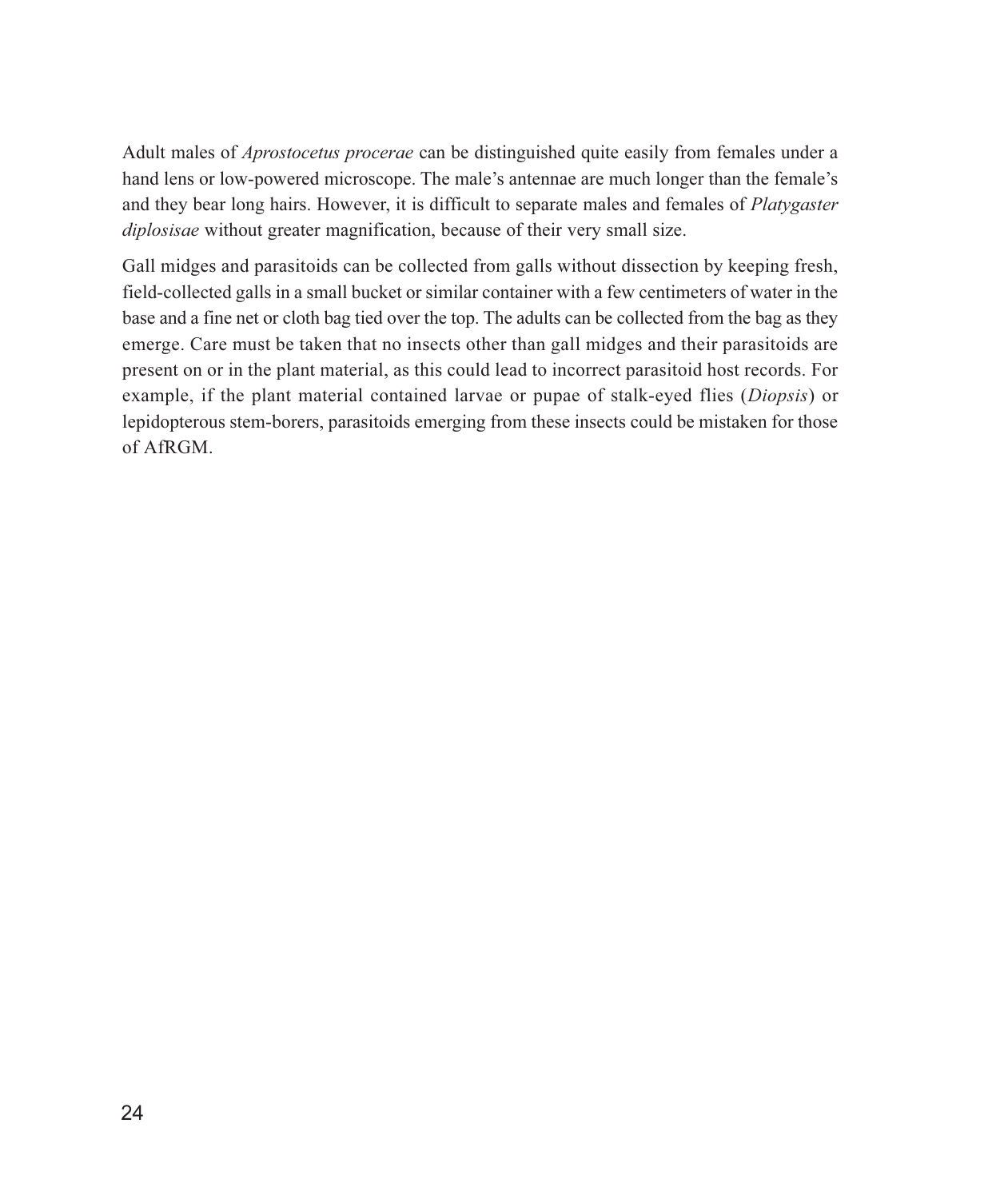Adult males of *Aprostocetus procerae* can be distinguished quite easily from females under a hand lens or low-powered microscope. The male's antennae are much longer than the female's and they bear long hairs. However, it is difficult to separate males and females of *Platygaster diplosisae* without greater magnification, because of their very small size.

Gall midges and parasitoids can be collected from galls without dissection by keeping fresh, field-collected galls in a small bucket or similar container with a few centimeters of water in the base and a fine net or cloth bag tied over the top. The adults can be collected from the bag as they emerge. Care must be taken that no insects other than gall midges and their parasitoids are present on or in the plant material, as this could lead to incorrect parasitoid host records. For example, if the plant material contained larvae or pupae of stalk-eyed flies (*Diopsis*) or lepidopterous stem-borers, parasitoids emerging from these insects could be mistaken for those of  $AFRGM$ .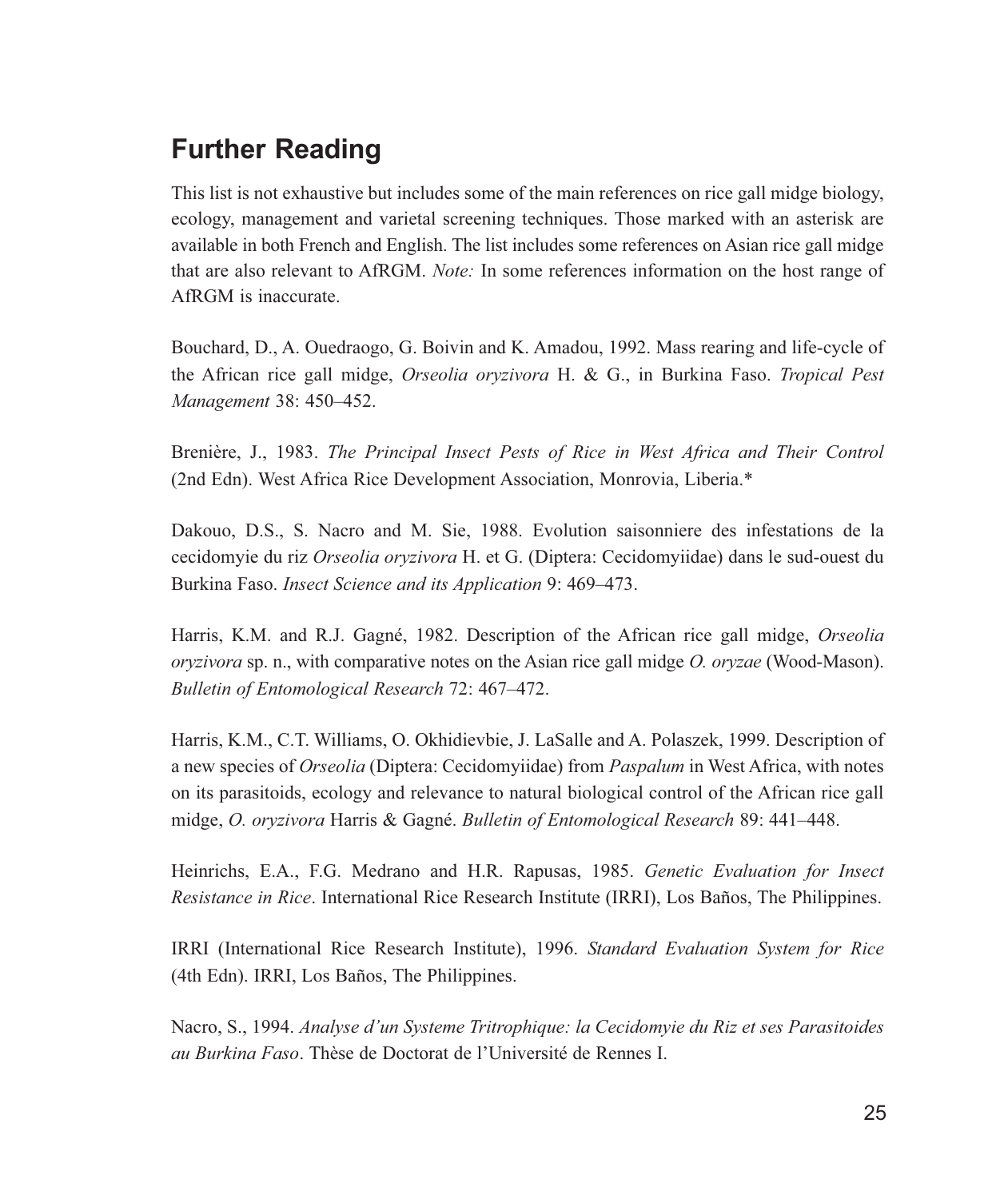## **Further Reading**

This list is not exhaustive but includes some of the main references on rice gall midge biology, ecology, management and varietal screening techniques. Those marked with an asterisk are available in both French and English. The list includes some references on Asian rice gall midge that are also relevant to AfRGM. Note: In some references information on the host range of AfRGM is inaccurate.

Bouchard, D., A. Ouedraogo, G. Boivin and K. Amadou, 1992. Mass rearing and life-cycle of the African rice gall midge, *Orseolia orvzivora* H. & G., in Burkina Faso. *Tropical Pest* Management 38: 450-452.

Brenière, J., 1983. The Principal Insect Pests of Rice in West Africa and Their Control (2nd Edn). West Africa Rice Development Association, Monrovia, Liberia.\*

Dakouo, D.S., S. Nacro and M. Sie, 1988. Evolution saisonniere des infestations de la cecidomyie du riz Orseolia oryzivora H. et G. (Diptera: Cecidomyiidae) dans le sud-ouest du Burkina Faso. Insect Science and its Application 9: 469–473.

Harris, K.M. and R.J. Gagné, 1982. Description of the African rice gall midge, Orseolia oryzivora sp. n., with comparative notes on the Asian rice gall midge O. oryzae (Wood-Mason). Bulletin of Entomological Research 72: 467–472.

Harris, K.M., C.T. Williams, O. Okhidievbie, J. LaSalle and A. Polaszek, 1999. Description of a new species of *Orseolia* (Diptera: Cecidomyiidae) from *Paspalum* in West Africa, with notes on its parasitoids, ecology and relevance to natural biological control of the African rice gall midge, O. oryzivora Harris & Gagné. Bulletin of Entomological Research 89: 441–448.

Heinrichs, E.A., F.G. Medrano and H.R. Rapusas, 1985. Genetic Evaluation for Insect Resistance in Rice. International Rice Research Institute (IRRI), Los Baños, The Philippines.

IRRI (International Rice Research Institute), 1996. Standard Evaluation System for Rice (4th Edn). IRRI, Los Baños, The Philippines.

Nacro, S., 1994. Analyse d'un Systeme Tritrophique: la Cecidomyie du Riz et ses Parasitoides *au Burkina Faso.* Thèse de Doctorat de l'Université de Rennes I.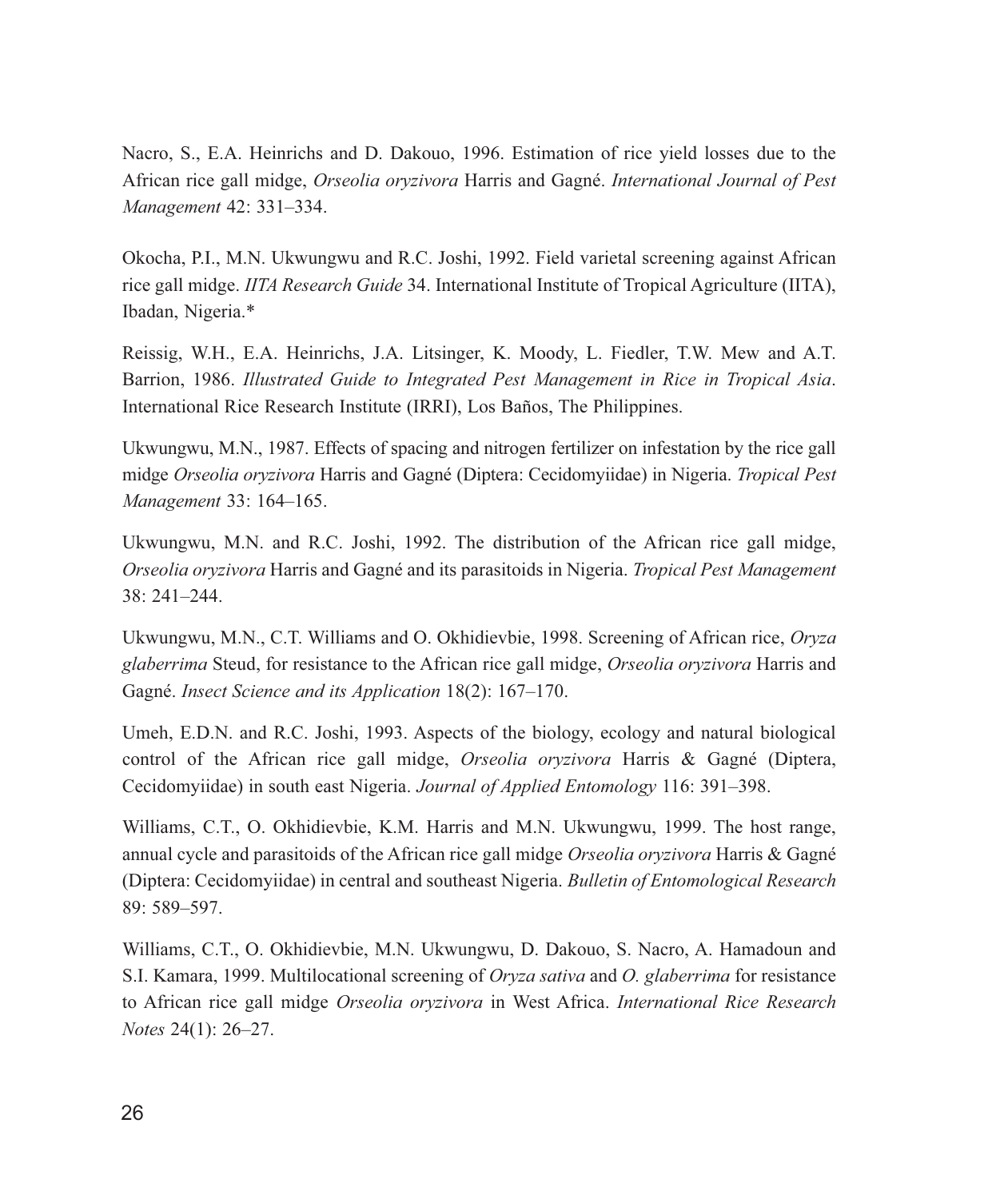Nacro, S., E.A. Heinrichs and D. Dakouo, 1996. Estimation of rice yield losses due to the African rice gall midge, Orseolia oryzivora Harris and Gagné. International Journal of Pest Management 42: 331-334.

Okocha, P.I., M.N. Ukwungwu and R.C. Joshi, 1992. Field varietal screening against African rice gall midge. IITA Research Guide 34. International Institute of Tropical Agriculture (IITA), Ibadan, Nigeria.\*

Reissig, W.H., E.A. Heinrichs, J.A. Litsinger, K. Moody, L. Fiedler, T.W. Mew and A.T. Barrion, 1986. Illustrated Guide to Integrated Pest Management in Rice in Tropical Asia. International Rice Research Institute *(IRRI)*, Los Baños, The Philippines.

Ukwungwu, M.N., 1987. Effects of spacing and nitrogen fertilizer on infestation by the rice gall midge Orseolia oryzivora Harris and Gagné (Diptera: Cecidomyiidae) in Nigeria. Tropical Pest Management 33: 164-165.

Ukwungwu, M.N. and R.C. Joshi, 1992. The distribution of the African rice gall midge, Orseolia oryzivora Harris and Gagné and its parasitoids in Nigeria. Tropical Pest Management  $38:241 - 244.$ 

Ukwungwu, M.N., C.T. Williams and O. Okhidievbie, 1998. Screening of African rice, Oryza glaberrima Steud, for resistance to the African rice gall midge, Orseolia oryzivora Harris and Gagné. *Insect Science and its Application* 18(2): 167–170.

Umeh, E.D.N. and R.C. Joshi, 1993. Aspects of the biology, ecology and natural biological control of the African rice gall midge, *Orseolia oryzivora* Harris & Gagné (Diptera, Cecidomyiidae) in south east Nigeria. Journal of Applied Entomology 116: 391–398.

Williams, C.T., O. Okhidievbie, K.M. Harris and M.N. Ukwungwu, 1999. The host range, annual cycle and parasitoids of the African rice gall midge Orseolia oryzivora Harris & Gagné (Diptera: Cecidomyiidae) in central and southeast Nigeria. Bulletin of Entomological Research 89: 589-597.

Williams, C.T., O. Okhidievbie, M.N. Ukwungwu, D. Dakouo, S. Nacro, A. Hamadoun and S.I. Kamara, 1999. Multilocational screening of *Oryza sativa* and *O. glaberrima* for resistance to African rice gall midge *Orseolia oryzivora* in West Africa. *International Rice Research Notes*  $24(1)$ :  $26-27$ .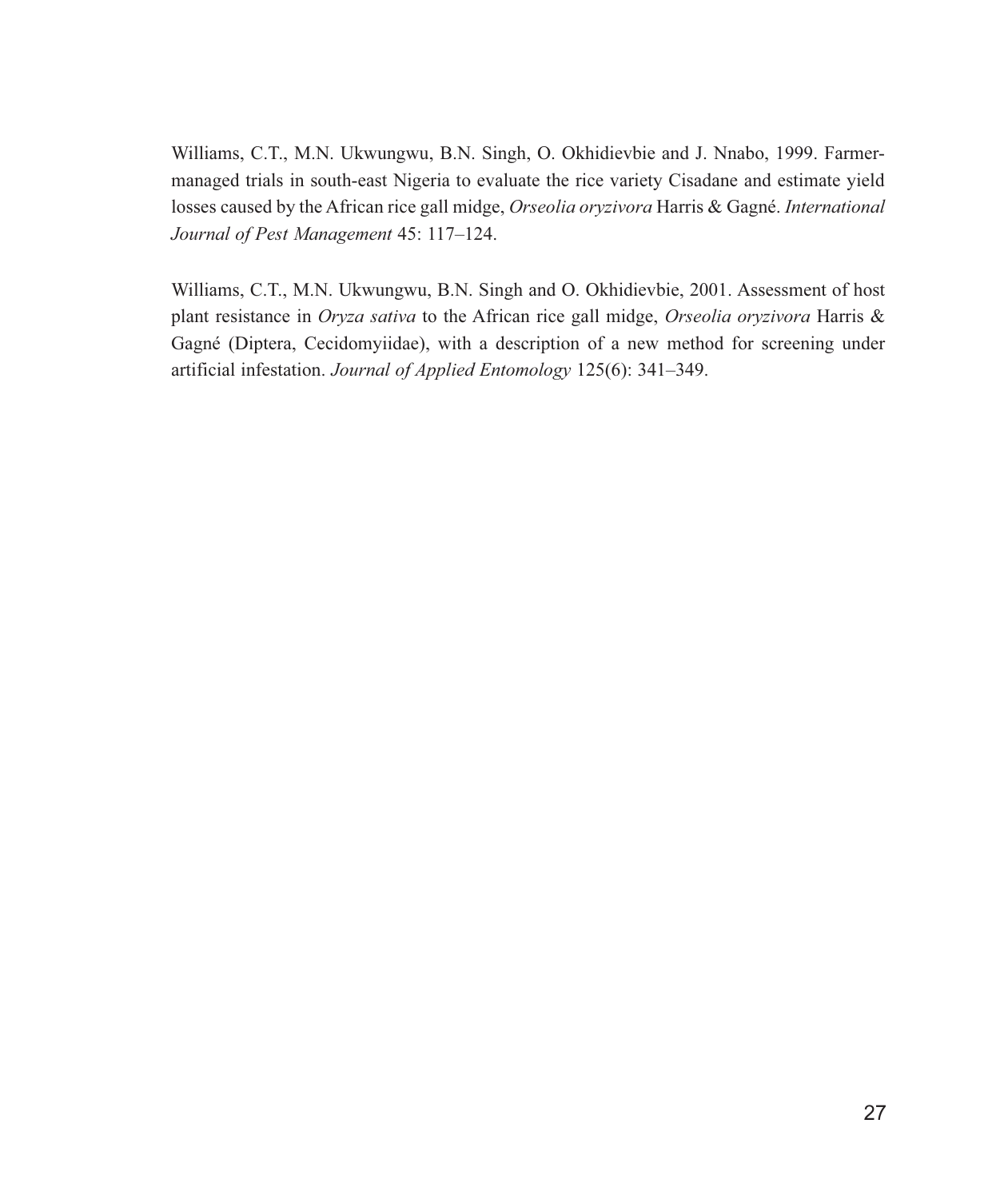Williams, C.T., M.N. Ukwungwu, B.N. Singh, O. Okhidievbie and J. Nnabo, 1999. Farmermanaged trials in south-east Nigeria to evaluate the rice variety Cisadane and estimate yield losses caused by the African rice gall midge, Orseolia oryzivora Harris & Gagné. International Journal of Pest Management 45: 117-124.

Williams, C.T., M.N. Ukwungwu, B.N. Singh and O. Okhidievbie, 2001. Assessment of host plant resistance in Oryza sativa to the African rice gall midge, Orseolia oryzivora Harris & Gagné (Diptera, Cecidomyiidae), with a description of a new method for screening under artificial infestation. Journal of Applied Entomology 125(6): 341-349.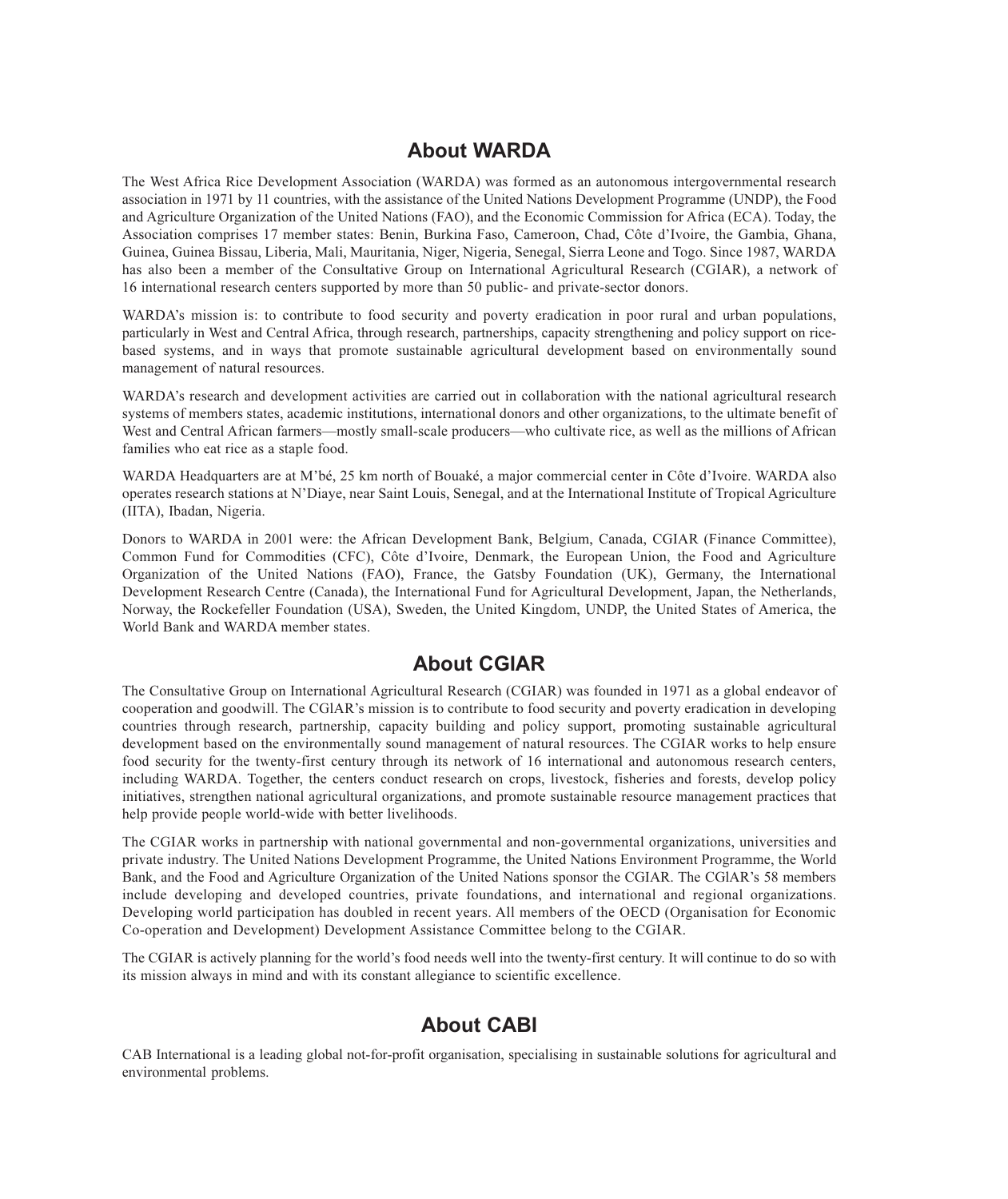#### **About WARDA**

The West Africa Rice Development Association (WARDA) was formed as an autonomous intergovernmental research association in 1971 by 11 countries, with the assistance of the United Nations Development Programme (UNDP), the Food and Agriculture Organization of the United Nations (FAO), and the Economic Commission for Africa (ECA). Today, the Association comprises 17 member states: Benin, Burkina Faso, Cameroon, Chad, Côte d'Ivoire, the Gambia, Ghana, Guinea, Guinea Bissau, Liberia, Mali, Mauritania, Niger, Nigeria, Senegal, Sierra Leone and Togo. Since 1987, WARDA has also been a member of the Consultative Group on International Agricultural Research (CGIAR), a network of 16 international research centers supported by more than 50 public- and private-sector donors.

WARDA's mission is: to contribute to food security and poverty eradication in poor rural and urban populations, particularly in West and Central Africa, through research, partnerships, capacity strengthening and policy support on ricebased systems, and in ways that promote sustainable agricultural development based on environmentally sound management of natural resources.

WARDA's research and development activities are carried out in collaboration with the national agricultural research systems of members states, academic institutions, international donors and other organizations, to the ultimate benefit of West and Central African farmers—mostly small-scale producers—who cultivate rice, as well as the millions of African families who eat rice as a staple food.

WARDA Headquarters are at M'bé, 25 km north of Bouaké, a major commercial center in Côte d'Ivoire. WARDA also operates research stations at N'Diaye, near Saint Louis, Senegal, and at the International Institute of Tropical Agriculture (IITA), Ibadan, Nigeria.

Donors to WARDA in 2001 were: the African Development Bank, Belgium, Canada, CGIAR (Finance Committee), Common Fund for Commodities (CFC), Côte d'Ivoire, Denmark, the European Union, the Food and Agriculture Organization of the United Nations (FAO), France, the Gatsby Foundation (UK), Germany, the International Development Research Centre (Canada), the International Fund for Agricultural Development, Japan, the Netherlands, Norway, the Rockefeller Foundation (USA), Sweden, the United Kingdom, UNDP, the United States of America, the World Bank and WARDA member states.

#### **About CGIAR**

The Consultative Group on International Agricultural Research (CGIAR) was founded in 1971 as a global endeavor of cooperation and goodwill. The CGIAR's mission is to contribute to food security and poverty eradication in developing countries through research, partnership, capacity building and policy support, promoting sustainable agricultural development based on the environmentally sound management of natural resources. The CGIAR works to help ensure food security for the twenty-first century through its network of 16 international and autonomous research centers, including WARDA. Together, the centers conduct research on crops, livestock, fisheries and forests, develop policy initiatives, strengthen national agricultural organizations, and promote sustainable resource management practices that help provide people world-wide with better livelihoods.

The CGIAR works in partnership with national governmental and non-governmental organizations, universities and private industry. The United Nations Development Programme, the United Nations Environment Programme, the World Bank, and the Food and Agriculture Organization of the United Nations sponsor the CGIAR. The CGIAR's 58 members include developing and developed countries, private foundations, and international and regional organizations. Developing world participation has doubled in recent years. All members of the OECD (Organisation for Economic Co-operation and Development) Development Assistance Committee belong to the CGIAR.

The CGIAR is actively planning for the world's food needs well into the twenty-first century. It will continue to do so with its mission always in mind and with its constant allegiance to scientific excellence.

#### **About CABI**

CAB International is a leading global not-for-profit organisation, specialising in sustainable solutions for agricultural and environmental problems.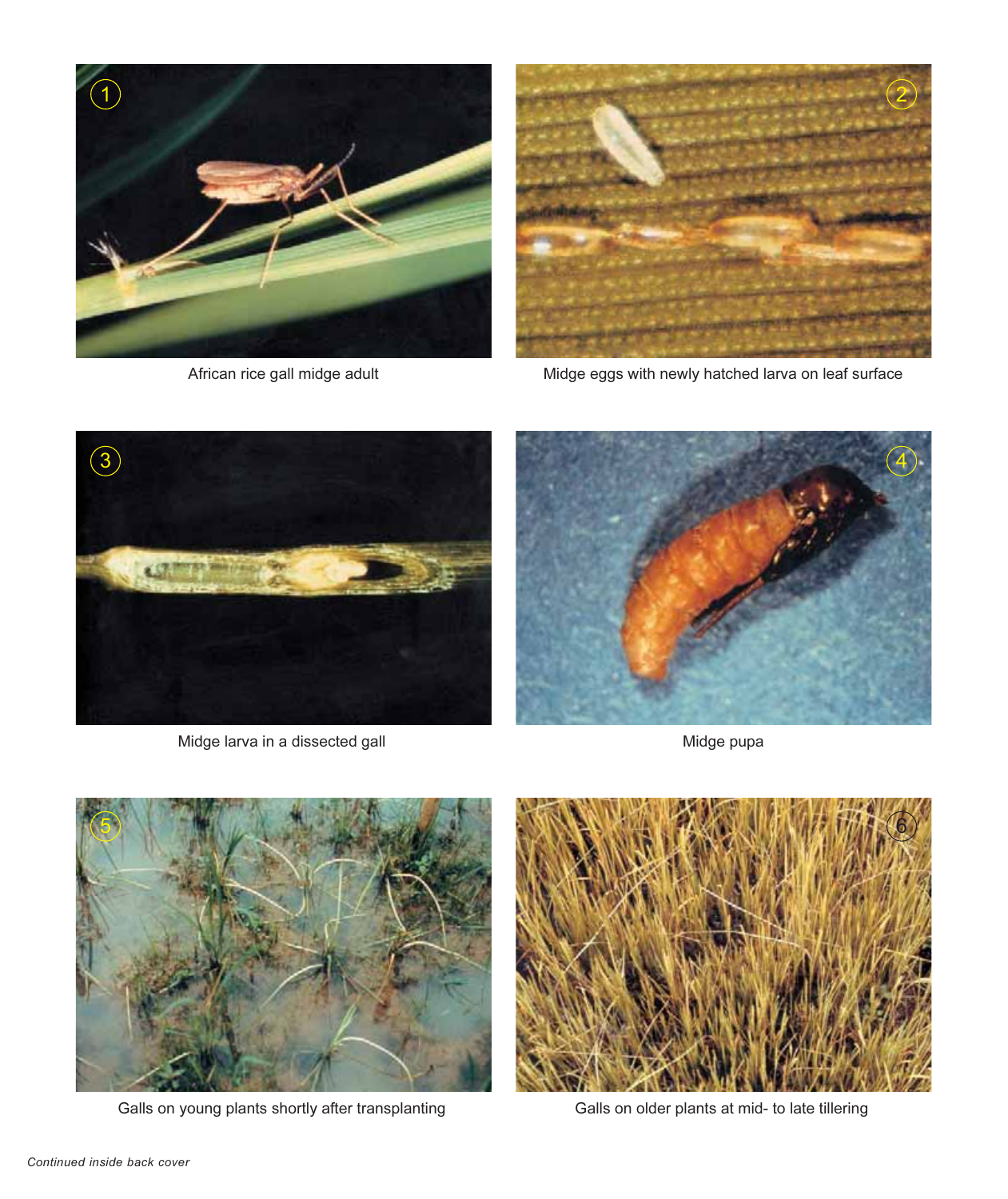

African rice gall midge adult



Midge eggs with newly hatched larva on leaf surface



Midge larva in a dissected gall



Midge pupa



Galls on young plants shortly after transplanting



Galls on older plants at mid- to late tillering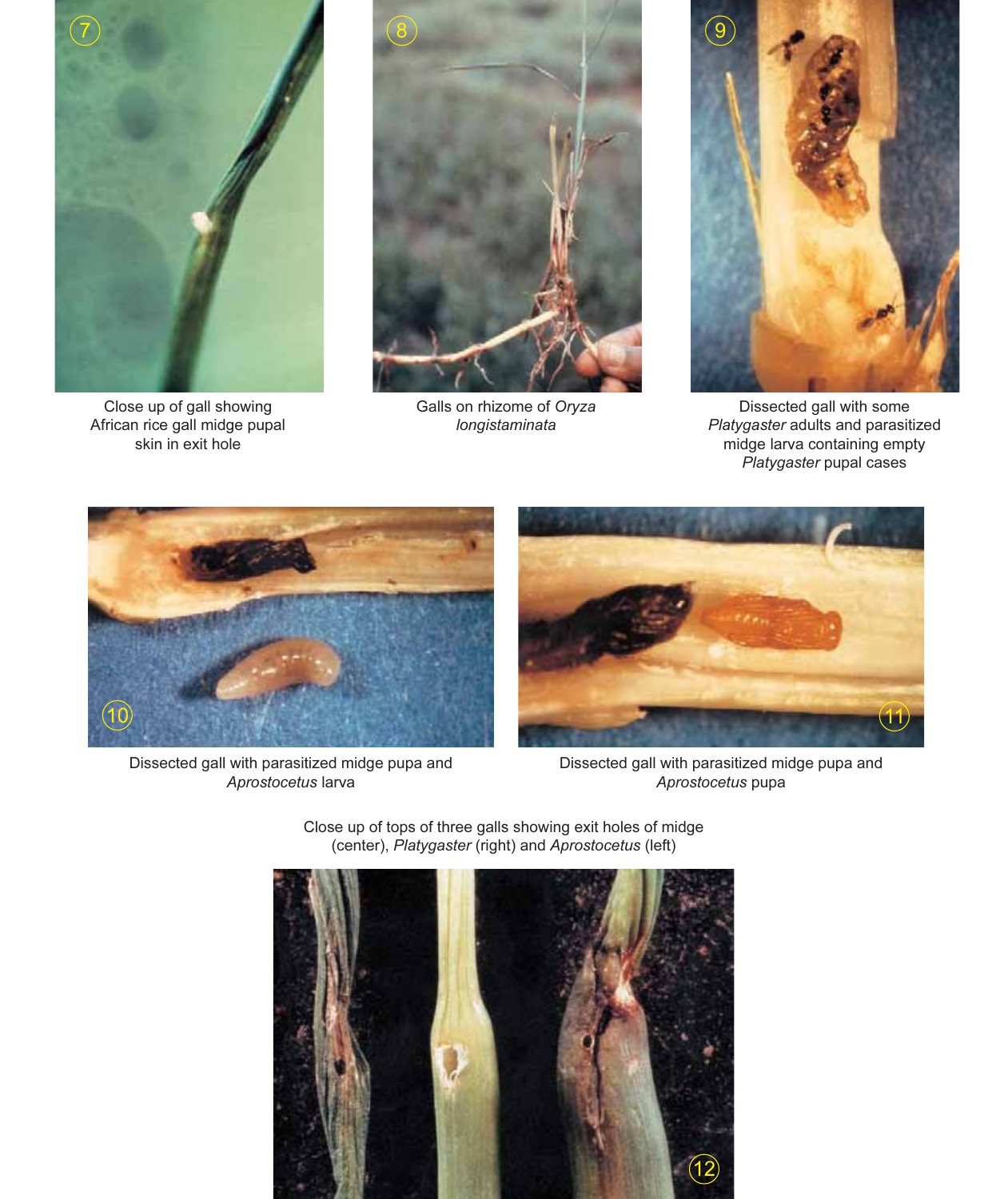

Close up of gall showing African rice gall midge pupal skin in exit hole



Galls on rhizome of Oryza longistaminata



Dissected gall with some<br>Platygaster adults and parasitized midge larva containing empty Platygaster pupal cases



Dissected gall with parasitized midge pupa and Aprostocetus larva



Dissected gall with parasitized midge pupa and Aprostocetus pupa



Close up of tops of three galls showing exit holes of midge (center), Platygaster (right) and Aprostocetus (left)